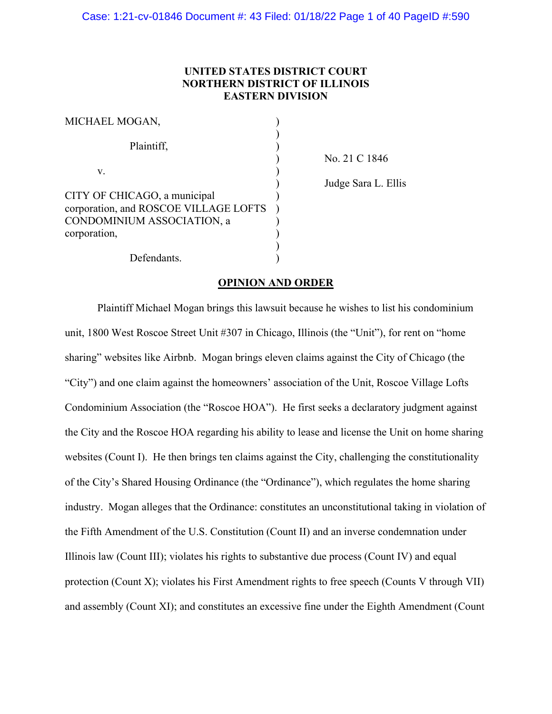# **UNITED STATES DISTRICT COURT NORTHERN DISTRICT OF ILLINOIS EASTERN DIVISION**

| MICHAEL MOGAN,                                                                                      |  |
|-----------------------------------------------------------------------------------------------------|--|
| Plaintiff,                                                                                          |  |
| V.                                                                                                  |  |
| CITY OF CHICAGO, a municipal<br>corporation, and ROSCOE VILLAGE LOFTS<br>CONDOMINIUM ASSOCIATION, a |  |
| corporation,<br>Defendants.                                                                         |  |

) No. 21 C 1846

) Judge Sara L. Ellis

# **OPINION AND ORDER**

Plaintiff Michael Mogan brings this lawsuit because he wishes to list his condominium unit, 1800 West Roscoe Street Unit #307 in Chicago, Illinois (the "Unit"), for rent on "home sharing" websites like Airbnb. Mogan brings eleven claims against the City of Chicago (the "City") and one claim against the homeowners' association of the Unit, Roscoe Village Lofts Condominium Association (the "Roscoe HOA"). He first seeks a declaratory judgment against the City and the Roscoe HOA regarding his ability to lease and license the Unit on home sharing websites (Count I). He then brings ten claims against the City, challenging the constitutionality of the City's Shared Housing Ordinance (the "Ordinance"), which regulates the home sharing industry. Mogan alleges that the Ordinance: constitutes an unconstitutional taking in violation of the Fifth Amendment of the U.S. Constitution (Count II) and an inverse condemnation under Illinois law (Count III); violates his rights to substantive due process (Count IV) and equal protection (Count X); violates his First Amendment rights to free speech (Counts V through VII) and assembly (Count XI); and constitutes an excessive fine under the Eighth Amendment (Count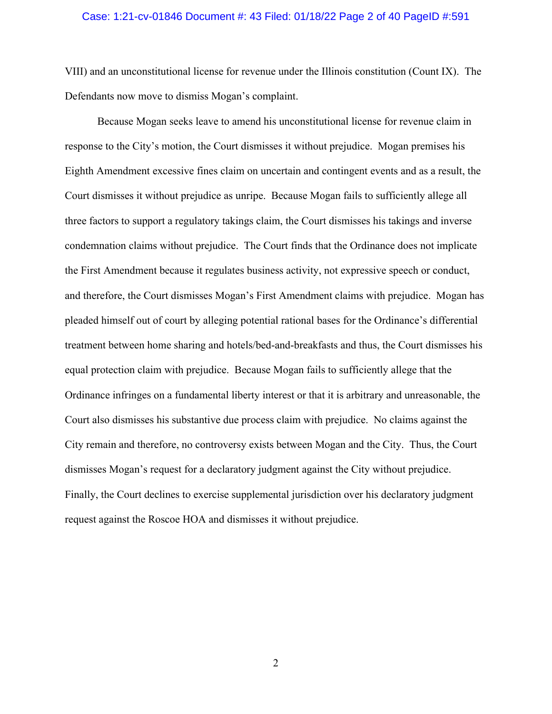#### Case: 1:21-cv-01846 Document #: 43 Filed: 01/18/22 Page 2 of 40 PageID #:591

VIII) and an unconstitutional license for revenue under the Illinois constitution (Count IX). The Defendants now move to dismiss Mogan's complaint.

Because Mogan seeks leave to amend his unconstitutional license for revenue claim in response to the City's motion, the Court dismisses it without prejudice. Mogan premises his Eighth Amendment excessive fines claim on uncertain and contingent events and as a result, the Court dismisses it without prejudice as unripe. Because Mogan fails to sufficiently allege all three factors to support a regulatory takings claim, the Court dismisses his takings and inverse condemnation claims without prejudice. The Court finds that the Ordinance does not implicate the First Amendment because it regulates business activity, not expressive speech or conduct, and therefore, the Court dismisses Mogan's First Amendment claims with prejudice. Mogan has pleaded himself out of court by alleging potential rational bases for the Ordinance's differential treatment between home sharing and hotels/bed-and-breakfasts and thus, the Court dismisses his equal protection claim with prejudice. Because Mogan fails to sufficiently allege that the Ordinance infringes on a fundamental liberty interest or that it is arbitrary and unreasonable, the Court also dismisses his substantive due process claim with prejudice. No claims against the City remain and therefore, no controversy exists between Mogan and the City. Thus, the Court dismisses Mogan's request for a declaratory judgment against the City without prejudice. Finally, the Court declines to exercise supplemental jurisdiction over his declaratory judgment request against the Roscoe HOA and dismisses it without prejudice.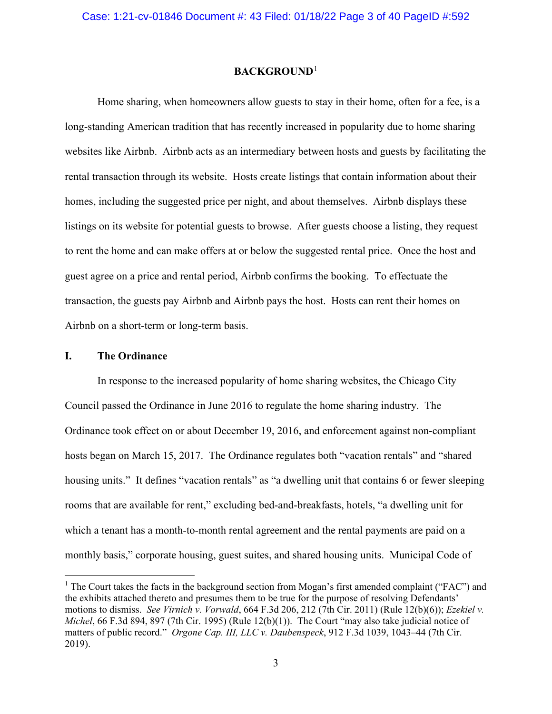### **BACKGROUND**[1](#page-2-0)

Home sharing, when homeowners allow guests to stay in their home, often for a fee, is a long-standing American tradition that has recently increased in popularity due to home sharing websites like Airbnb. Airbnb acts as an intermediary between hosts and guests by facilitating the rental transaction through its website. Hosts create listings that contain information about their homes, including the suggested price per night, and about themselves. Airbnb displays these listings on its website for potential guests to browse. After guests choose a listing, they request to rent the home and can make offers at or below the suggested rental price. Once the host and guest agree on a price and rental period, Airbnb confirms the booking. To effectuate the transaction, the guests pay Airbnb and Airbnb pays the host. Hosts can rent their homes on Airbnb on a short-term or long-term basis.

### **I. The Ordinance**

In response to the increased popularity of home sharing websites, the Chicago City Council passed the Ordinance in June 2016 to regulate the home sharing industry. The Ordinance took effect on or about December 19, 2016, and enforcement against non-compliant hosts began on March 15, 2017. The Ordinance regulates both "vacation rentals" and "shared housing units." It defines "vacation rentals" as "a dwelling unit that contains 6 or fewer sleeping rooms that are available for rent," excluding bed-and-breakfasts, hotels, "a dwelling unit for which a tenant has a month-to-month rental agreement and the rental payments are paid on a monthly basis," corporate housing, guest suites, and shared housing units. Municipal Code of

<span id="page-2-0"></span><sup>&</sup>lt;sup>1</sup> The Court takes the facts in the background section from Mogan's first amended complaint ("FAC") and the exhibits attached thereto and presumes them to be true for the purpose of resolving Defendants' motions to dismiss. *See Virnich v. Vorwald*, 664 F.3d 206, 212 (7th Cir. 2011) (Rule 12(b)(6)); *Ezekiel v. Michel*, 66 F.3d 894, 897 (7th Cir. 1995) (Rule 12(b)(1)). The Court "may also take judicial notice of matters of public record." *Orgone Cap. III, LLC v. Daubenspeck*, 912 F.3d 1039, 1043–44 (7th Cir. 2019).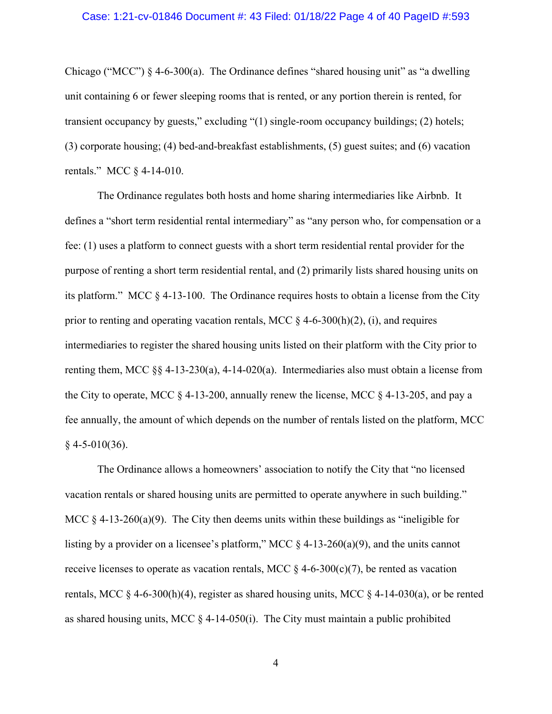#### Case: 1:21-cv-01846 Document #: 43 Filed: 01/18/22 Page 4 of 40 PageID #:593

Chicago ("MCC")  $\S$  4-6-300(a). The Ordinance defines "shared housing unit" as "a dwelling unit containing 6 or fewer sleeping rooms that is rented, or any portion therein is rented, for transient occupancy by guests," excluding "(1) single-room occupancy buildings; (2) hotels; (3) corporate housing; (4) bed-and-breakfast establishments, (5) guest suites; and (6) vacation rentals." MCC § 4-14-010.

The Ordinance regulates both hosts and home sharing intermediaries like Airbnb. It defines a "short term residential rental intermediary" as "any person who, for compensation or a fee: (1) uses a platform to connect guests with a short term residential rental provider for the purpose of renting a short term residential rental, and (2) primarily lists shared housing units on its platform." MCC § 4-13-100. The Ordinance requires hosts to obtain a license from the City prior to renting and operating vacation rentals, MCC  $\S$  4-6-300(h)(2), (i), and requires intermediaries to register the shared housing units listed on their platform with the City prior to renting them, MCC §§ 4-13-230(a), 4-14-020(a). Intermediaries also must obtain a license from the City to operate, MCC  $\S$  4-13-200, annually renew the license, MCC  $\S$  4-13-205, and pay a fee annually, the amount of which depends on the number of rentals listed on the platform, MCC  $§$  4-5-010(36).

The Ordinance allows a homeowners' association to notify the City that "no licensed vacation rentals or shared housing units are permitted to operate anywhere in such building." MCC  $\S 4$ -13-260(a)(9). The City then deems units within these buildings as "ineligible for listing by a provider on a licensee's platform," MCC  $\S$  4-13-260(a)(9), and the units cannot receive licenses to operate as vacation rentals, MCC  $\S$  4-6-300(c)(7), be rented as vacation rentals, MCC  $\S$  4-6-300(h)(4), register as shared housing units, MCC  $\S$  4-14-030(a), or be rented as shared housing units, MCC  $\S$  4-14-050(i). The City must maintain a public prohibited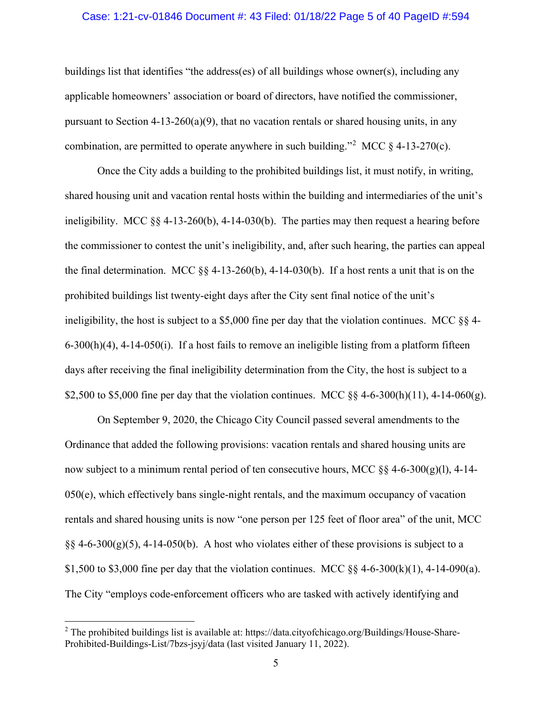### Case: 1:21-cv-01846 Document #: 43 Filed: 01/18/22 Page 5 of 40 PageID #:594

buildings list that identifies "the address(es) of all buildings whose owner(s), including any applicable homeowners' association or board of directors, have notified the commissioner, pursuant to Section  $4-13-260(a)(9)$ , that no vacation rentals or shared housing units, in any combination, are permitted to operate anywhere in such building."<sup>[2](#page-4-0)</sup> MCC  $\S$  4-13-270(c).

Once the City adds a building to the prohibited buildings list, it must notify, in writing, shared housing unit and vacation rental hosts within the building and intermediaries of the unit's ineligibility. MCC §§ 4-13-260(b), 4-14-030(b). The parties may then request a hearing before the commissioner to contest the unit's ineligibility, and, after such hearing, the parties can appeal the final determination. MCC  $\S$ § 4-13-260(b), 4-14-030(b). If a host rents a unit that is on the prohibited buildings list twenty-eight days after the City sent final notice of the unit's ineligibility, the host is subject to a \$5,000 fine per day that the violation continues. MCC  $\S$ § 4- $6-300(h)(4)$ ,  $4-14-050(i)$ . If a host fails to remove an ineligible listing from a platform fifteen days after receiving the final ineligibility determination from the City, the host is subject to a \$2,500 to \$5,000 fine per day that the violation continues. MCC  $\S$ § 4-6-300(h)(11), 4-14-060(g).

On September 9, 2020, the Chicago City Council passed several amendments to the Ordinance that added the following provisions: vacation rentals and shared housing units are now subject to a minimum rental period of ten consecutive hours, MCC  $\S$ § 4-6-300(g)(l), 4-14- $050(e)$ , which effectively bans single-night rentals, and the maximum occupancy of vacation rentals and shared housing units is now "one person per 125 feet of floor area" of the unit, MCC  $\S$ § 4-6-300(g)(5), 4-14-050(b). A host who violates either of these provisions is subject to a \$1,500 to \$3,000 fine per day that the violation continues. MCC  $\S$ § 4-6-300(k)(1), 4-14-090(a). The City "employs code-enforcement officers who are tasked with actively identifying and

<span id="page-4-0"></span><sup>&</sup>lt;sup>2</sup> The prohibited buildings list is available at: https://data.cityofchicago.org/Buildings/House-Share-Prohibited-Buildings-List/7bzs-jsyj/data (last visited January 11, 2022).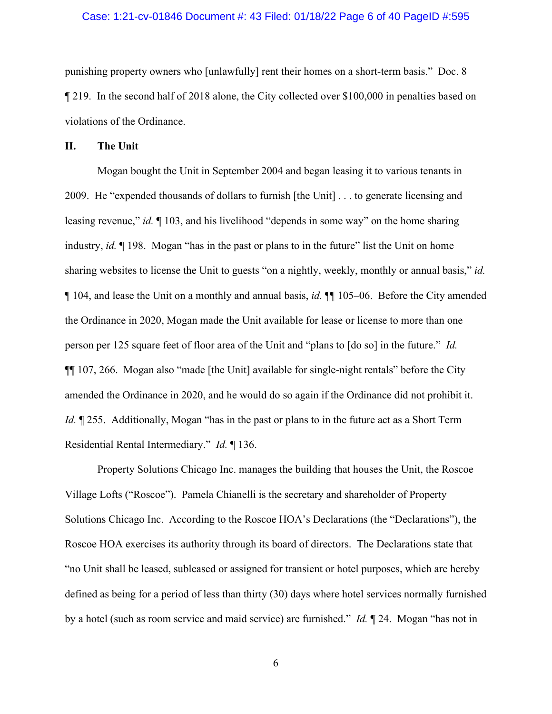### Case: 1:21-cv-01846 Document #: 43 Filed: 01/18/22 Page 6 of 40 PageID #:595

punishing property owners who [unlawfully] rent their homes on a short-term basis." Doc. 8 ¶ 219. In the second half of 2018 alone, the City collected over \$100,000 in penalties based on violations of the Ordinance.

#### **II. The Unit**

Mogan bought the Unit in September 2004 and began leasing it to various tenants in 2009. He "expended thousands of dollars to furnish [the Unit] . . . to generate licensing and leasing revenue," *id.* ¶ 103, and his livelihood "depends in some way" on the home sharing industry, *id.* ¶ 198. Mogan "has in the past or plans to in the future" list the Unit on home sharing websites to license the Unit to guests "on a nightly, weekly, monthly or annual basis," *id.* ¶ 104, and lease the Unit on a monthly and annual basis, *id.* ¶¶ 105–06. Before the City amended the Ordinance in 2020, Mogan made the Unit available for lease or license to more than one person per 125 square feet of floor area of the Unit and "plans to [do so] in the future." *Id.* ¶¶ 107, 266. Mogan also "made [the Unit] available for single-night rentals" before the City amended the Ordinance in 2020, and he would do so again if the Ordinance did not prohibit it. *Id.*  $\parallel$  255. Additionally, Mogan "has in the past or plans to in the future act as a Short Term Residential Rental Intermediary." *Id.* ¶ 136.

Property Solutions Chicago Inc. manages the building that houses the Unit, the Roscoe Village Lofts ("Roscoe"). Pamela Chianelli is the secretary and shareholder of Property Solutions Chicago Inc. According to the Roscoe HOA's Declarations (the "Declarations"), the Roscoe HOA exercises its authority through its board of directors. The Declarations state that "no Unit shall be leased, subleased or assigned for transient or hotel purposes, which are hereby defined as being for a period of less than thirty (30) days where hotel services normally furnished by a hotel (such as room service and maid service) are furnished." *Id.* ¶ 24. Mogan "has not in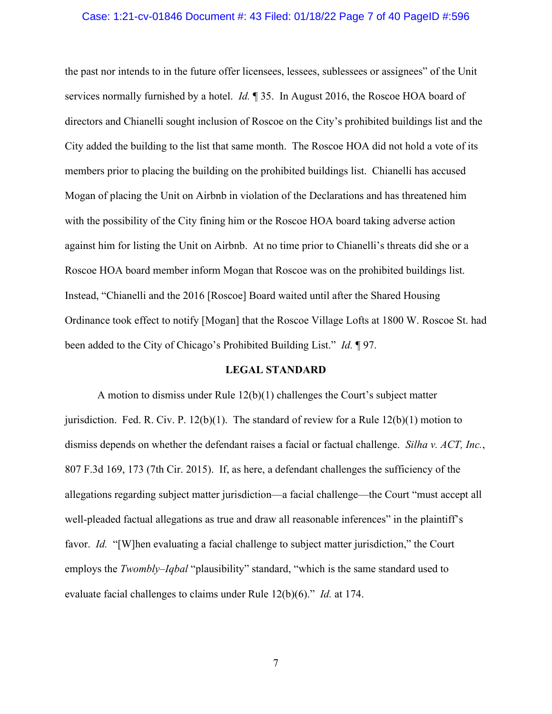### Case: 1:21-cv-01846 Document #: 43 Filed: 01/18/22 Page 7 of 40 PageID #:596

the past nor intends to in the future offer licensees, lessees, sublessees or assignees" of the Unit services normally furnished by a hotel. *Id.* ¶ 35. In August 2016, the Roscoe HOA board of directors and Chianelli sought inclusion of Roscoe on the City's prohibited buildings list and the City added the building to the list that same month. The Roscoe HOA did not hold a vote of its members prior to placing the building on the prohibited buildings list. Chianelli has accused Mogan of placing the Unit on Airbnb in violation of the Declarations and has threatened him with the possibility of the City fining him or the Roscoe HOA board taking adverse action against him for listing the Unit on Airbnb. At no time prior to Chianelli's threats did she or a Roscoe HOA board member inform Mogan that Roscoe was on the prohibited buildings list. Instead, "Chianelli and the 2016 [Roscoe] Board waited until after the Shared Housing Ordinance took effect to notify [Mogan] that the Roscoe Village Lofts at 1800 W. Roscoe St. had been added to the City of Chicago's Prohibited Building List." *Id.* ¶ 97.

#### **LEGAL STANDARD**

A motion to dismiss under Rule 12(b)(1) challenges the Court's subject matter jurisdiction. Fed. R. Civ. P.  $12(b)(1)$ . The standard of review for a Rule  $12(b)(1)$  motion to dismiss depends on whether the defendant raises a facial or factual challenge. *Silha v. ACT, Inc.*, 807 F.3d 169, 173 (7th Cir. 2015). If, as here, a defendant challenges the sufficiency of the allegations regarding subject matter jurisdiction—a facial challenge—the Court "must accept all well-pleaded factual allegations as true and draw all reasonable inferences" in the plaintiff's favor. *Id.* "[W]hen evaluating a facial challenge to subject matter jurisdiction," the Court employs the *Twombly–Iqbal* "plausibility" standard, "which is the same standard used to evaluate facial challenges to claims under Rule 12(b)(6)." *Id.* at 174.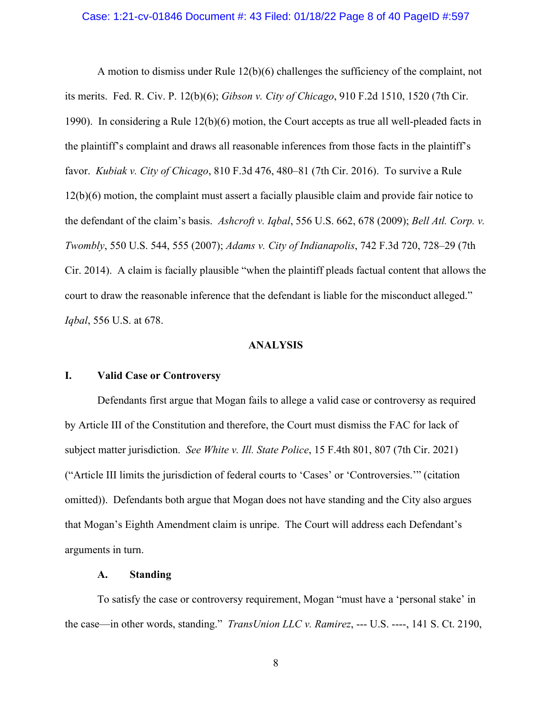#### Case: 1:21-cv-01846 Document #: 43 Filed: 01/18/22 Page 8 of 40 PageID #:597

A motion to dismiss under Rule 12(b)(6) challenges the sufficiency of the complaint, not its merits. Fed. R. Civ. P. 12(b)(6); *Gibson v. City of Chicago*, 910 F.2d 1510, 1520 (7th Cir. 1990). In considering a Rule 12(b)(6) motion, the Court accepts as true all well-pleaded facts in the plaintiff's complaint and draws all reasonable inferences from those facts in the plaintiff's favor. *Kubiak v. City of Chicago*, 810 F.3d 476, 480–81 (7th Cir. 2016). To survive a Rule 12(b)(6) motion, the complaint must assert a facially plausible claim and provide fair notice to the defendant of the claim's basis. *Ashcroft v. Iqbal*, 556 U.S. 662, 678 (2009); *Bell Atl. Corp. v. Twombly*, 550 U.S. 544, 555 (2007); *Adams v. City of Indianapolis*, 742 F.3d 720, 728–29 (7th Cir. 2014). A claim is facially plausible "when the plaintiff pleads factual content that allows the court to draw the reasonable inference that the defendant is liable for the misconduct alleged." *Iqbal*, 556 U.S. at 678.

### **ANALYSIS**

### **I. Valid Case or Controversy**

Defendants first argue that Mogan fails to allege a valid case or controversy as required by Article III of the Constitution and therefore, the Court must dismiss the FAC for lack of subject matter jurisdiction. *See White v. Ill. State Police*, 15 F.4th 801, 807 (7th Cir. 2021) ("Article III limits the jurisdiction of federal courts to 'Cases' or 'Controversies.'" (citation omitted)). Defendants both argue that Mogan does not have standing and the City also argues that Mogan's Eighth Amendment claim is unripe. The Court will address each Defendant's arguments in turn.

### **A. Standing**

To satisfy the case or controversy requirement, Mogan "must have a 'personal stake' in the case—in other words, standing." *TransUnion LLC v. Ramirez*, --- U.S. ----, 141 S. Ct. 2190,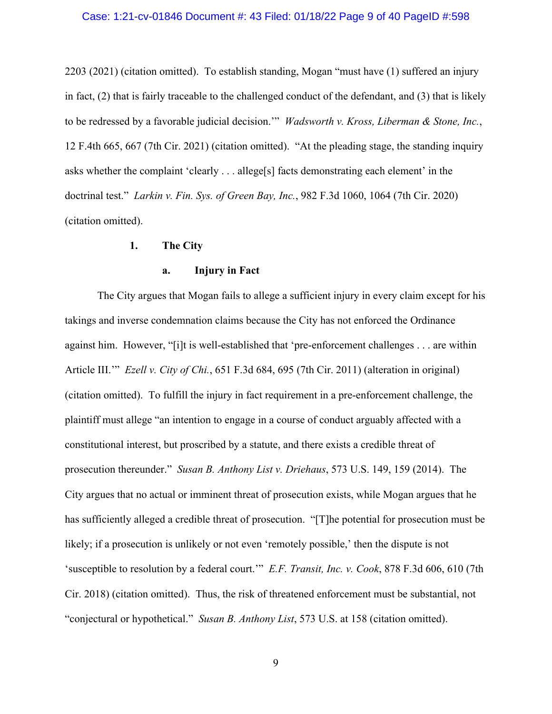### Case: 1:21-cv-01846 Document #: 43 Filed: 01/18/22 Page 9 of 40 PageID #:598

2203 (2021) (citation omitted). To establish standing, Mogan "must have (1) suffered an injury in fact, (2) that is fairly traceable to the challenged conduct of the defendant, and (3) that is likely to be redressed by a favorable judicial decision.'" *Wadsworth v. Kross, Liberman & Stone, Inc.*, 12 F.4th 665, 667 (7th Cir. 2021) (citation omitted). "At the pleading stage, the standing inquiry asks whether the complaint 'clearly . . . allege[s] facts demonstrating each element' in the doctrinal test." *Larkin v. Fin. Sys. of Green Bay, Inc.*, 982 F.3d 1060, 1064 (7th Cir. 2020) (citation omitted).

#### **1. The City**

### **a. Injury in Fact**

The City argues that Mogan fails to allege a sufficient injury in every claim except for his takings and inverse condemnation claims because the City has not enforced the Ordinance against him. However, "[i]t is well-established that 'pre-enforcement challenges . . . are within Article III.'" *Ezell v. City of Chi.*, 651 F.3d 684, 695 (7th Cir. 2011) (alteration in original) (citation omitted). To fulfill the injury in fact requirement in a pre-enforcement challenge, the plaintiff must allege "an intention to engage in a course of conduct arguably affected with a constitutional interest, but proscribed by a statute, and there exists a credible threat of prosecution thereunder." *Susan B. Anthony List v. Driehaus*, 573 U.S. 149, 159 (2014). The City argues that no actual or imminent threat of prosecution exists, while Mogan argues that he has sufficiently alleged a credible threat of prosecution. "[T]he potential for prosecution must be likely; if a prosecution is unlikely or not even 'remotely possible,' then the dispute is not 'susceptible to resolution by a federal court.'" *E.F. Transit, Inc. v. Cook*, 878 F.3d 606, 610 (7th Cir. 2018) (citation omitted). Thus, the risk of threatened enforcement must be substantial, not "conjectural or hypothetical." *Susan B. Anthony List*, 573 U.S. at 158 (citation omitted).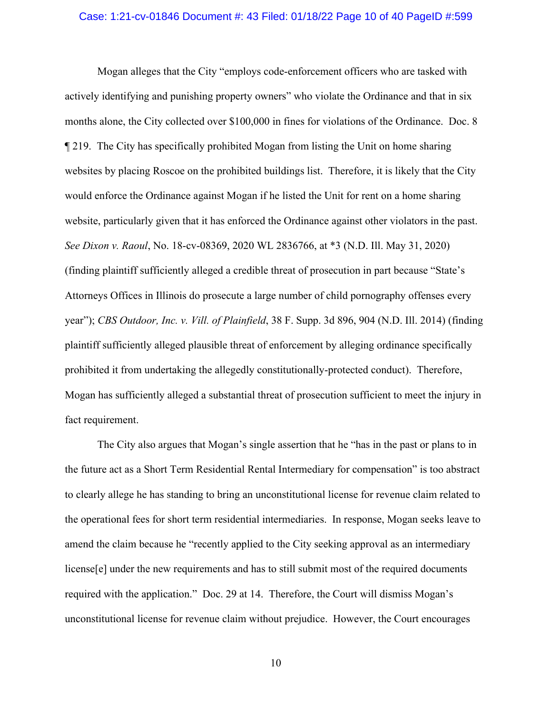#### Case: 1:21-cv-01846 Document #: 43 Filed: 01/18/22 Page 10 of 40 PageID #:599

Mogan alleges that the City "employs code-enforcement officers who are tasked with actively identifying and punishing property owners" who violate the Ordinance and that in six months alone, the City collected over \$100,000 in fines for violations of the Ordinance. Doc. 8 ¶ 219. The City has specifically prohibited Mogan from listing the Unit on home sharing websites by placing Roscoe on the prohibited buildings list. Therefore, it is likely that the City would enforce the Ordinance against Mogan if he listed the Unit for rent on a home sharing website, particularly given that it has enforced the Ordinance against other violators in the past. *See Dixon v. Raoul*, No. 18-cv-08369, 2020 WL 2836766, at \*3 (N.D. Ill. May 31, 2020) (finding plaintiff sufficiently alleged a credible threat of prosecution in part because "State's Attorneys Offices in Illinois do prosecute a large number of child pornography offenses every year"); *CBS Outdoor, Inc. v. Vill. of Plainfield*, 38 F. Supp. 3d 896, 904 (N.D. Ill. 2014) (finding plaintiff sufficiently alleged plausible threat of enforcement by alleging ordinance specifically prohibited it from undertaking the allegedly constitutionally-protected conduct). Therefore, Mogan has sufficiently alleged a substantial threat of prosecution sufficient to meet the injury in fact requirement.

The City also argues that Mogan's single assertion that he "has in the past or plans to in the future act as a Short Term Residential Rental Intermediary for compensation" is too abstract to clearly allege he has standing to bring an unconstitutional license for revenue claim related to the operational fees for short term residential intermediaries. In response, Mogan seeks leave to amend the claim because he "recently applied to the City seeking approval as an intermediary license[e] under the new requirements and has to still submit most of the required documents required with the application." Doc. 29 at 14. Therefore, the Court will dismiss Mogan's unconstitutional license for revenue claim without prejudice. However, the Court encourages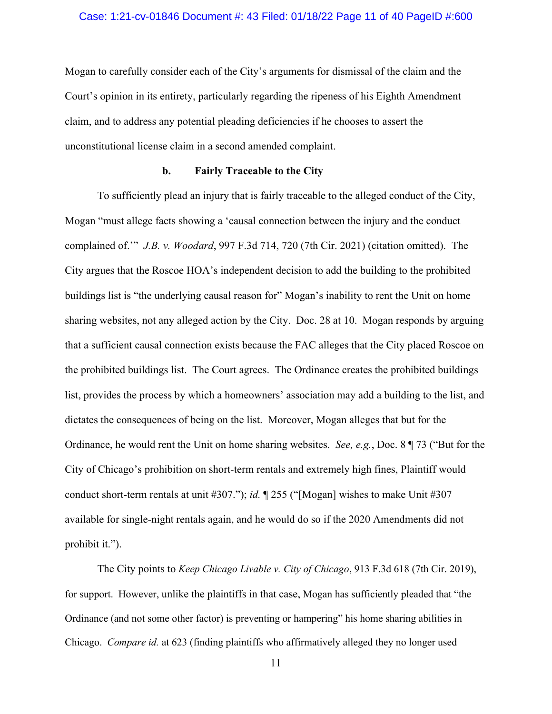#### Case: 1:21-cv-01846 Document #: 43 Filed: 01/18/22 Page 11 of 40 PageID #:600

Mogan to carefully consider each of the City's arguments for dismissal of the claim and the Court's opinion in its entirety, particularly regarding the ripeness of his Eighth Amendment claim, and to address any potential pleading deficiencies if he chooses to assert the unconstitutional license claim in a second amended complaint.

#### **b. Fairly Traceable to the City**

To sufficiently plead an injury that is fairly traceable to the alleged conduct of the City, Mogan "must allege facts showing a 'causal connection between the injury and the conduct complained of.'" *J.B. v. Woodard*, 997 F.3d 714, 720 (7th Cir. 2021) (citation omitted). The City argues that the Roscoe HOA's independent decision to add the building to the prohibited buildings list is "the underlying causal reason for" Mogan's inability to rent the Unit on home sharing websites, not any alleged action by the City. Doc. 28 at 10. Mogan responds by arguing that a sufficient causal connection exists because the FAC alleges that the City placed Roscoe on the prohibited buildings list. The Court agrees. The Ordinance creates the prohibited buildings list, provides the process by which a homeowners' association may add a building to the list, and dictates the consequences of being on the list. Moreover, Mogan alleges that but for the Ordinance, he would rent the Unit on home sharing websites. *See, e.g.*, Doc. 8 ¶ 73 ("But for the City of Chicago's prohibition on short-term rentals and extremely high fines, Plaintiff would conduct short-term rentals at unit #307."); *id.* ¶ 255 ("[Mogan] wishes to make Unit #307 available for single-night rentals again, and he would do so if the 2020 Amendments did not prohibit it.").

The City points to *Keep Chicago Livable v. City of Chicago*, 913 F.3d 618 (7th Cir. 2019), for support. However, unlike the plaintiffs in that case, Mogan has sufficiently pleaded that "the Ordinance (and not some other factor) is preventing or hampering" his home sharing abilities in Chicago. *Compare id.* at 623 (finding plaintiffs who affirmatively alleged they no longer used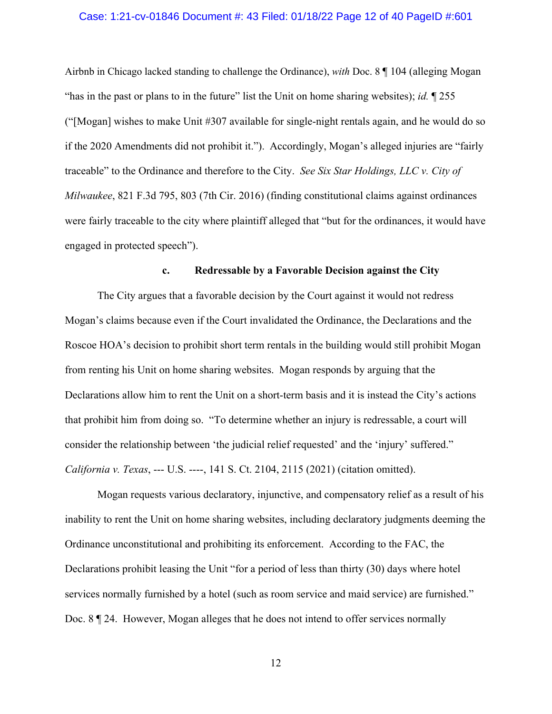#### Case: 1:21-cv-01846 Document #: 43 Filed: 01/18/22 Page 12 of 40 PageID #:601

Airbnb in Chicago lacked standing to challenge the Ordinance), *with* Doc. 8 ¶ 104 (alleging Mogan "has in the past or plans to in the future" list the Unit on home sharing websites); *id.* ¶ 255 ("[Mogan] wishes to make Unit #307 available for single-night rentals again, and he would do so if the 2020 Amendments did not prohibit it."). Accordingly, Mogan's alleged injuries are "fairly traceable" to the Ordinance and therefore to the City. *See Six Star Holdings, LLC v. City of Milwaukee*, 821 F.3d 795, 803 (7th Cir. 2016) (finding constitutional claims against ordinances were fairly traceable to the city where plaintiff alleged that "but for the ordinances, it would have engaged in protected speech").

#### **c. Redressable by a Favorable Decision against the City**

The City argues that a favorable decision by the Court against it would not redress Mogan's claims because even if the Court invalidated the Ordinance, the Declarations and the Roscoe HOA's decision to prohibit short term rentals in the building would still prohibit Mogan from renting his Unit on home sharing websites. Mogan responds by arguing that the Declarations allow him to rent the Unit on a short-term basis and it is instead the City's actions that prohibit him from doing so. "To determine whether an injury is redressable, a court will consider the relationship between 'the judicial relief requested' and the 'injury' suffered." *California v. Texas*, --- U.S. ----, 141 S. Ct. 2104, 2115 (2021) (citation omitted).

Mogan requests various declaratory, injunctive, and compensatory relief as a result of his inability to rent the Unit on home sharing websites, including declaratory judgments deeming the Ordinance unconstitutional and prohibiting its enforcement. According to the FAC, the Declarations prohibit leasing the Unit "for a period of less than thirty (30) days where hotel services normally furnished by a hotel (such as room service and maid service) are furnished." Doc. 8 ¶ 24. However, Mogan alleges that he does not intend to offer services normally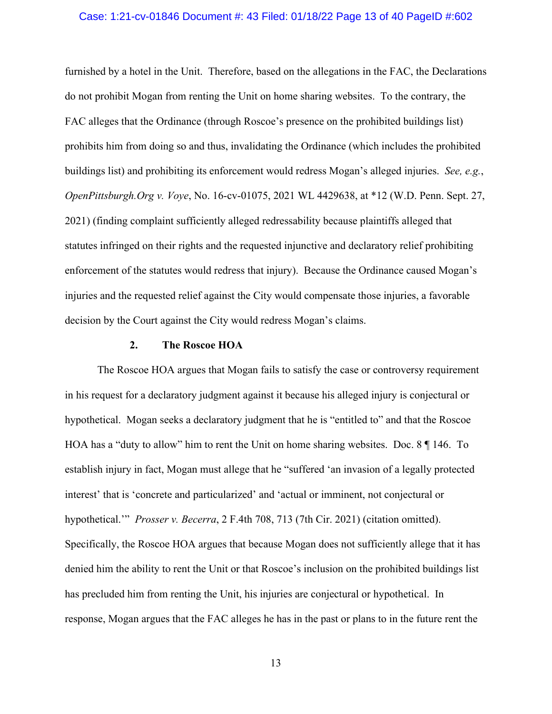#### Case: 1:21-cv-01846 Document #: 43 Filed: 01/18/22 Page 13 of 40 PageID #:602

furnished by a hotel in the Unit. Therefore, based on the allegations in the FAC, the Declarations do not prohibit Mogan from renting the Unit on home sharing websites. To the contrary, the FAC alleges that the Ordinance (through Roscoe's presence on the prohibited buildings list) prohibits him from doing so and thus, invalidating the Ordinance (which includes the prohibited buildings list) and prohibiting its enforcement would redress Mogan's alleged injuries. *See, e.g.*, *OpenPittsburgh.Org v. Voye*, No. 16-cv-01075, 2021 WL 4429638, at \*12 (W.D. Penn. Sept. 27, 2021) (finding complaint sufficiently alleged redressability because plaintiffs alleged that statutes infringed on their rights and the requested injunctive and declaratory relief prohibiting enforcement of the statutes would redress that injury). Because the Ordinance caused Mogan's injuries and the requested relief against the City would compensate those injuries, a favorable decision by the Court against the City would redress Mogan's claims.

#### **2. The Roscoe HOA**

The Roscoe HOA argues that Mogan fails to satisfy the case or controversy requirement in his request for a declaratory judgment against it because his alleged injury is conjectural or hypothetical. Mogan seeks a declaratory judgment that he is "entitled to" and that the Roscoe HOA has a "duty to allow" him to rent the Unit on home sharing websites. Doc. 8 ¶ 146. To establish injury in fact, Mogan must allege that he "suffered 'an invasion of a legally protected interest' that is 'concrete and particularized' and 'actual or imminent, not conjectural or hypothetical.'" *Prosser v. Becerra*, 2 F.4th 708, 713 (7th Cir. 2021) (citation omitted). Specifically, the Roscoe HOA argues that because Mogan does not sufficiently allege that it has denied him the ability to rent the Unit or that Roscoe's inclusion on the prohibited buildings list has precluded him from renting the Unit, his injuries are conjectural or hypothetical. In response, Mogan argues that the FAC alleges he has in the past or plans to in the future rent the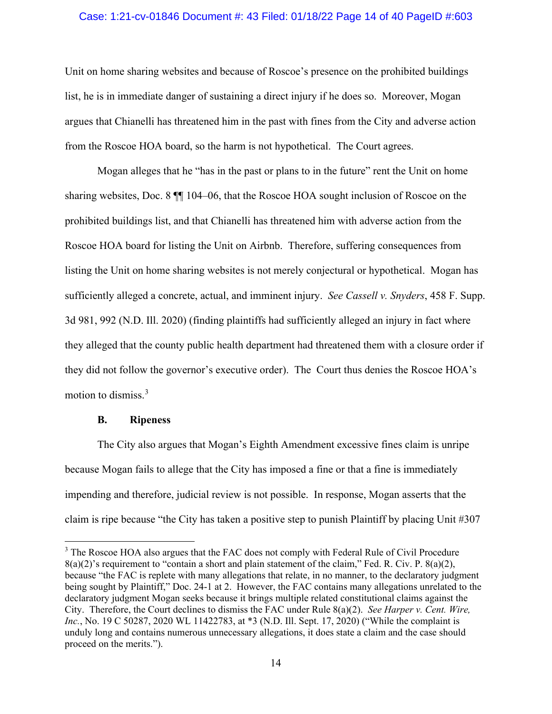### Case: 1:21-cv-01846 Document #: 43 Filed: 01/18/22 Page 14 of 40 PageID #:603

Unit on home sharing websites and because of Roscoe's presence on the prohibited buildings list, he is in immediate danger of sustaining a direct injury if he does so. Moreover, Mogan argues that Chianelli has threatened him in the past with fines from the City and adverse action from the Roscoe HOA board, so the harm is not hypothetical. The Court agrees.

Mogan alleges that he "has in the past or plans to in the future" rent the Unit on home sharing websites, Doc. 8 ¶¶ 104–06, that the Roscoe HOA sought inclusion of Roscoe on the prohibited buildings list, and that Chianelli has threatened him with adverse action from the Roscoe HOA board for listing the Unit on Airbnb. Therefore, suffering consequences from listing the Unit on home sharing websites is not merely conjectural or hypothetical. Mogan has sufficiently alleged a concrete, actual, and imminent injury. *See Cassell v. Snyders*, 458 F. Supp. 3d 981, 992 (N.D. Ill. 2020) (finding plaintiffs had sufficiently alleged an injury in fact where they alleged that the county public health department had threatened them with a closure order if they did not follow the governor's executive order). The Court thus denies the Roscoe HOA's motion to dismiss. [3](#page-13-0)

#### **B. Ripeness**

The City also argues that Mogan's Eighth Amendment excessive fines claim is unripe because Mogan fails to allege that the City has imposed a fine or that a fine is immediately impending and therefore, judicial review is not possible. In response, Mogan asserts that the claim is ripe because "the City has taken a positive step to punish Plaintiff by placing Unit #307

<span id="page-13-0"></span><sup>&</sup>lt;sup>3</sup> The Roscoe HOA also argues that the FAC does not comply with Federal Rule of Civil Procedure  $8(a)(2)$ 's requirement to "contain a short and plain statement of the claim," Fed. R. Civ. P.  $8(a)(2)$ , because "the FAC is replete with many allegations that relate, in no manner, to the declaratory judgment being sought by Plaintiff," Doc. 24-1 at 2. However, the FAC contains many allegations unrelated to the declaratory judgment Mogan seeks because it brings multiple related constitutional claims against the City. Therefore, the Court declines to dismiss the FAC under Rule 8(a)(2). *See Harper v. Cent. Wire, Inc.*, No. 19 C 50287, 2020 WL 11422783, at \*3 (N.D. Ill. Sept. 17, 2020) ("While the complaint is unduly long and contains numerous unnecessary allegations, it does state a claim and the case should proceed on the merits.").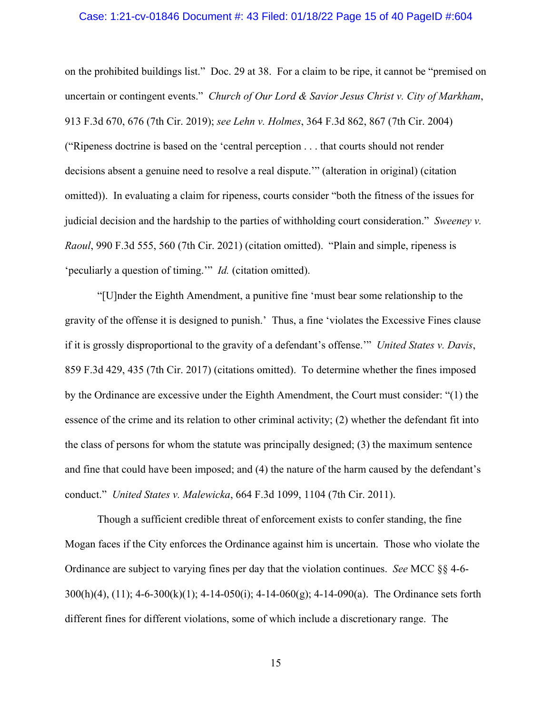#### Case: 1:21-cv-01846 Document #: 43 Filed: 01/18/22 Page 15 of 40 PageID #:604

on the prohibited buildings list." Doc. 29 at 38. For a claim to be ripe, it cannot be "premised on uncertain or contingent events." *Church of Our Lord & Savior Jesus Christ v. City of Markham*, 913 F.3d 670, 676 (7th Cir. 2019); *see Lehn v. Holmes*, 364 F.3d 862, 867 (7th Cir. 2004) ("Ripeness doctrine is based on the 'central perception . . . that courts should not render decisions absent a genuine need to resolve a real dispute.'" (alteration in original) (citation omitted)). In evaluating a claim for ripeness, courts consider "both the fitness of the issues for judicial decision and the hardship to the parties of withholding court consideration." *Sweeney v. Raoul*, 990 F.3d 555, 560 (7th Cir. 2021) (citation omitted). "Plain and simple, ripeness is 'peculiarly a question of timing.'" *Id.* (citation omitted).

"[U]nder the Eighth Amendment, a punitive fine 'must bear some relationship to the gravity of the offense it is designed to punish.' Thus, a fine 'violates the Excessive Fines clause if it is grossly disproportional to the gravity of a defendant's offense.'" *United States v. Davis*, 859 F.3d 429, 435 (7th Cir. 2017) (citations omitted). To determine whether the fines imposed by the Ordinance are excessive under the Eighth Amendment, the Court must consider: "(1) the essence of the crime and its relation to other criminal activity; (2) whether the defendant fit into the class of persons for whom the statute was principally designed; (3) the maximum sentence and fine that could have been imposed; and (4) the nature of the harm caused by the defendant's conduct." *United States v. Malewicka*, 664 F.3d 1099, 1104 (7th Cir. 2011).

Though a sufficient credible threat of enforcement exists to confer standing, the fine Mogan faces if the City enforces the Ordinance against him is uncertain. Those who violate the Ordinance are subject to varying fines per day that the violation continues. *See* MCC §§ 4-6- 300(h)(4), (11); 4-6-300(k)(1); 4-14-050(i); 4-14-060(g); 4-14-090(a). The Ordinance sets forth different fines for different violations, some of which include a discretionary range. The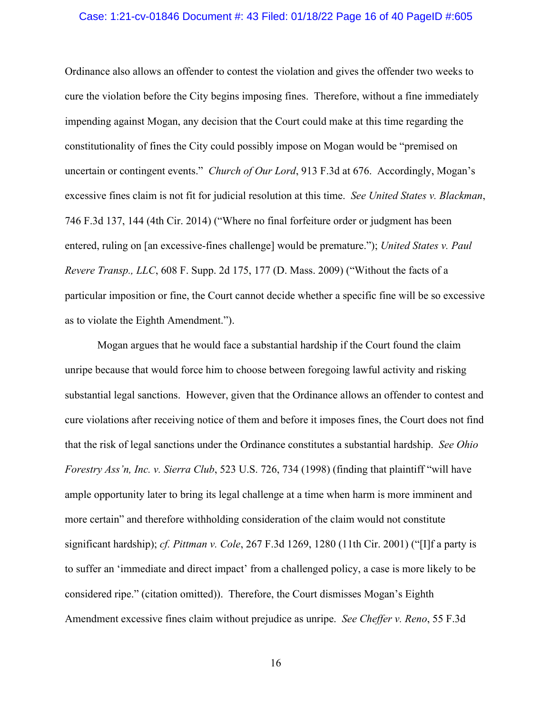#### Case: 1:21-cv-01846 Document #: 43 Filed: 01/18/22 Page 16 of 40 PageID #:605

Ordinance also allows an offender to contest the violation and gives the offender two weeks to cure the violation before the City begins imposing fines. Therefore, without a fine immediately impending against Mogan, any decision that the Court could make at this time regarding the constitutionality of fines the City could possibly impose on Mogan would be "premised on uncertain or contingent events." *Church of Our Lord*, 913 F.3d at 676. Accordingly, Mogan's excessive fines claim is not fit for judicial resolution at this time. *See United States v. Blackman*, 746 F.3d 137, 144 (4th Cir. 2014) ("Where no final forfeiture order or judgment has been entered, ruling on [an excessive-fines challenge] would be premature."); *United States v. Paul Revere Transp., LLC*, 608 F. Supp. 2d 175, 177 (D. Mass. 2009) ("Without the facts of a particular imposition or fine, the Court cannot decide whether a specific fine will be so excessive as to violate the Eighth Amendment.").

Mogan argues that he would face a substantial hardship if the Court found the claim unripe because that would force him to choose between foregoing lawful activity and risking substantial legal sanctions. However, given that the Ordinance allows an offender to contest and cure violations after receiving notice of them and before it imposes fines, the Court does not find that the risk of legal sanctions under the Ordinance constitutes a substantial hardship. *See Ohio Forestry Ass'n, Inc. v. Sierra Club*, 523 U.S. 726, 734 (1998) (finding that plaintiff "will have ample opportunity later to bring its legal challenge at a time when harm is more imminent and more certain" and therefore withholding consideration of the claim would not constitute significant hardship); *cf. Pittman v. Cole*, 267 F.3d 1269, 1280 (11th Cir. 2001) ("[I]f a party is to suffer an 'immediate and direct impact' from a challenged policy, a case is more likely to be considered ripe." (citation omitted)). Therefore, the Court dismisses Mogan's Eighth Amendment excessive fines claim without prejudice as unripe. *See Cheffer v. Reno*, 55 F.3d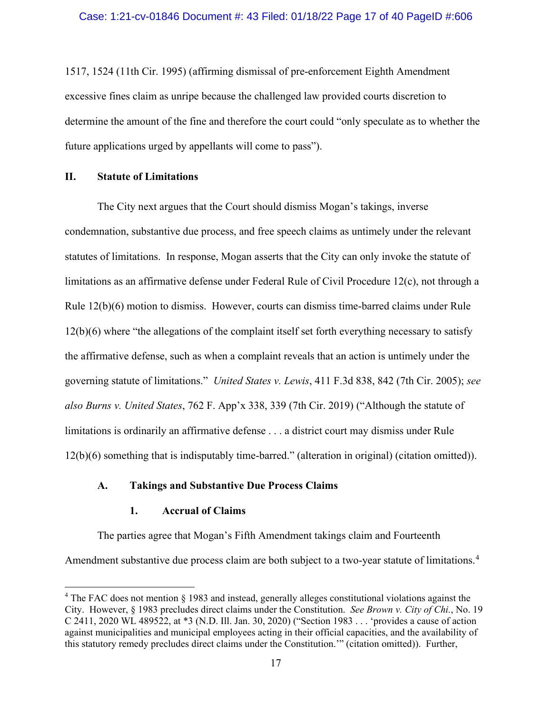1517, 1524 (11th Cir. 1995) (affirming dismissal of pre-enforcement Eighth Amendment excessive fines claim as unripe because the challenged law provided courts discretion to determine the amount of the fine and therefore the court could "only speculate as to whether the future applications urged by appellants will come to pass").

# **II. Statute of Limitations**

The City next argues that the Court should dismiss Mogan's takings, inverse condemnation, substantive due process, and free speech claims as untimely under the relevant statutes of limitations. In response, Mogan asserts that the City can only invoke the statute of limitations as an affirmative defense under Federal Rule of Civil Procedure 12(c), not through a Rule 12(b)(6) motion to dismiss. However, courts can dismiss time-barred claims under Rule 12(b)(6) where "the allegations of the complaint itself set forth everything necessary to satisfy the affirmative defense, such as when a complaint reveals that an action is untimely under the governing statute of limitations." *United States v. Lewis*, 411 F.3d 838, 842 (7th Cir. 2005); *see also Burns v. United States*, 762 F. App'x 338, 339 (7th Cir. 2019) ("Although the statute of limitations is ordinarily an affirmative defense . . . a district court may dismiss under Rule 12(b)(6) something that is indisputably time-barred." (alteration in original) (citation omitted)).

### **A. Takings and Substantive Due Process Claims**

### **1. Accrual of Claims**

The parties agree that Mogan's Fifth Amendment takings claim and Fourteenth Amendment substantive due process claim are both subject to a two-year statute of limitations.<sup>[4](#page-16-0)</sup>

<span id="page-16-0"></span><sup>4</sup> The FAC does not mention § 1983 and instead, generally alleges constitutional violations against the City. However, § 1983 precludes direct claims under the Constitution. *See Brown v. City of Chi.*, No. 19 C 2411, 2020 WL 489522, at \*3 (N.D. Ill. Jan. 30, 2020) ("Section 1983 . . . 'provides a cause of action against municipalities and municipal employees acting in their official capacities, and the availability of this statutory remedy precludes direct claims under the Constitution.'" (citation omitted)). Further,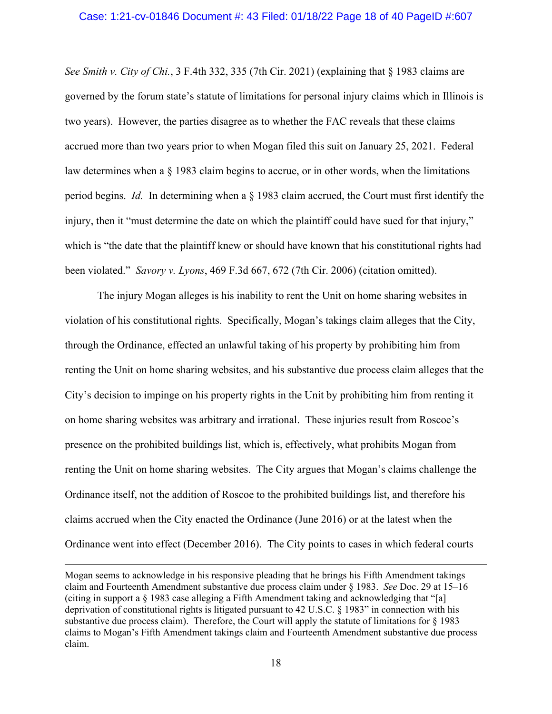#### Case: 1:21-cv-01846 Document #: 43 Filed: 01/18/22 Page 18 of 40 PageID #:607

*See Smith v. City of Chi.*, 3 F.4th 332, 335 (7th Cir. 2021) (explaining that § 1983 claims are governed by the forum state's statute of limitations for personal injury claims which in Illinois is two years). However, the parties disagree as to whether the FAC reveals that these claims accrued more than two years prior to when Mogan filed this suit on January 25, 2021. Federal law determines when a § 1983 claim begins to accrue, or in other words, when the limitations period begins. *Id.* In determining when a § 1983 claim accrued, the Court must first identify the injury, then it "must determine the date on which the plaintiff could have sued for that injury," which is "the date that the plaintiff knew or should have known that his constitutional rights had been violated." *Savory v. Lyons*, 469 F.3d 667, 672 (7th Cir. 2006) (citation omitted).

The injury Mogan alleges is his inability to rent the Unit on home sharing websites in violation of his constitutional rights. Specifically, Mogan's takings claim alleges that the City, through the Ordinance, effected an unlawful taking of his property by prohibiting him from renting the Unit on home sharing websites, and his substantive due process claim alleges that the City's decision to impinge on his property rights in the Unit by prohibiting him from renting it on home sharing websites was arbitrary and irrational. These injuries result from Roscoe's presence on the prohibited buildings list, which is, effectively, what prohibits Mogan from renting the Unit on home sharing websites. The City argues that Mogan's claims challenge the Ordinance itself, not the addition of Roscoe to the prohibited buildings list, and therefore his claims accrued when the City enacted the Ordinance (June 2016) or at the latest when the Ordinance went into effect (December 2016). The City points to cases in which federal courts

Mogan seems to acknowledge in his responsive pleading that he brings his Fifth Amendment takings claim and Fourteenth Amendment substantive due process claim under § 1983. *See* Doc. 29 at 15–16 (citing in support a  $\S$  1983 case alleging a Fifth Amendment taking and acknowledging that "[a] deprivation of constitutional rights is litigated pursuant to 42 U.S.C. § 1983" in connection with his substantive due process claim). Therefore, the Court will apply the statute of limitations for  $\S$  1983 claims to Mogan's Fifth Amendment takings claim and Fourteenth Amendment substantive due process claim.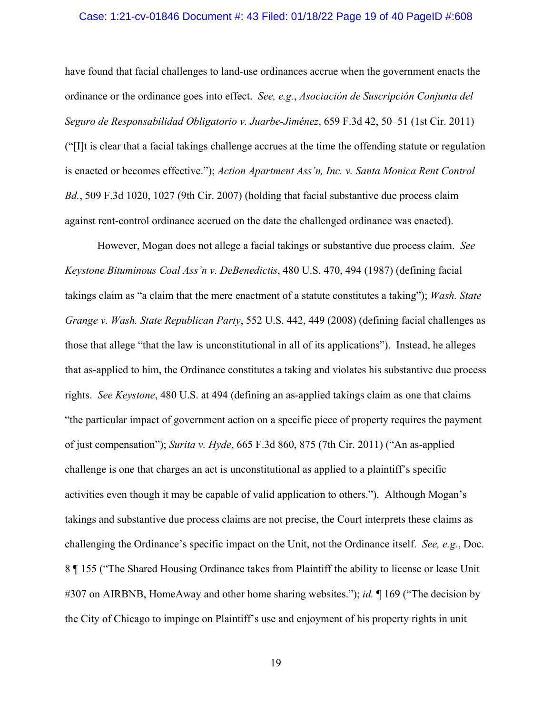#### Case: 1:21-cv-01846 Document #: 43 Filed: 01/18/22 Page 19 of 40 PageID #:608

have found that facial challenges to land-use ordinances accrue when the government enacts the ordinance or the ordinance goes into effect. *See, e.g.*, *Asociación de Suscripción Conjunta del Seguro de Responsabilidad Obligatorio v. Juarbe-Jiménez*, 659 F.3d 42, 50–51 (1st Cir. 2011) ("[I]t is clear that a facial takings challenge accrues at the time the offending statute or regulation is enacted or becomes effective."); *Action Apartment Ass'n, Inc. v. Santa Monica Rent Control Bd.*, 509 F.3d 1020, 1027 (9th Cir. 2007) (holding that facial substantive due process claim against rent-control ordinance accrued on the date the challenged ordinance was enacted).

However, Mogan does not allege a facial takings or substantive due process claim. *See Keystone Bituminous Coal Ass'n v. DeBenedictis*, 480 U.S. 470, 494 (1987) (defining facial takings claim as "a claim that the mere enactment of a statute constitutes a taking"); *Wash. State Grange v. Wash. State Republican Party*, 552 U.S. 442, 449 (2008) (defining facial challenges as those that allege "that the law is unconstitutional in all of its applications"). Instead, he alleges that as-applied to him, the Ordinance constitutes a taking and violates his substantive due process rights. *See Keystone*, 480 U.S. at 494 (defining an as-applied takings claim as one that claims "the particular impact of government action on a specific piece of property requires the payment of just compensation"); *Surita v. Hyde*, 665 F.3d 860, 875 (7th Cir. 2011) ("An as-applied challenge is one that charges an act is unconstitutional as applied to a plaintiff's specific activities even though it may be capable of valid application to others."). Although Mogan's takings and substantive due process claims are not precise, the Court interprets these claims as challenging the Ordinance's specific impact on the Unit, not the Ordinance itself. *See, e.g.*, Doc. 8 ¶ 155 ("The Shared Housing Ordinance takes from Plaintiff the ability to license or lease Unit #307 on AIRBNB, HomeAway and other home sharing websites."); *id.* ¶ 169 ("The decision by the City of Chicago to impinge on Plaintiff's use and enjoyment of his property rights in unit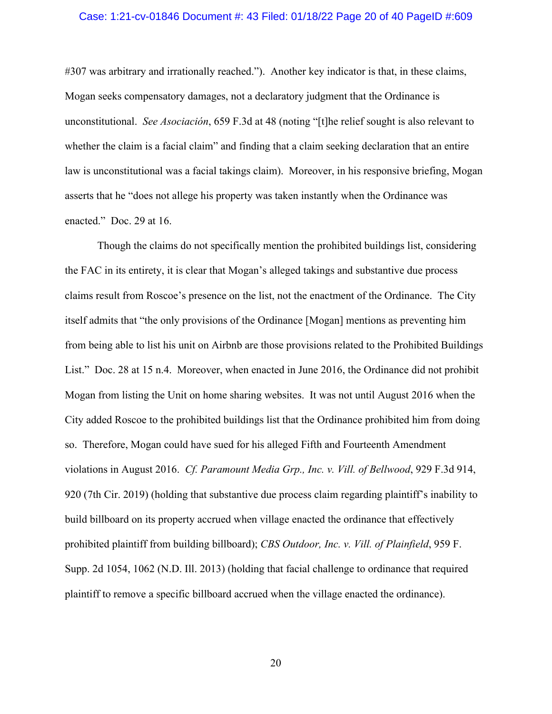#### Case: 1:21-cv-01846 Document #: 43 Filed: 01/18/22 Page 20 of 40 PageID #:609

#307 was arbitrary and irrationally reached."). Another key indicator is that, in these claims, Mogan seeks compensatory damages, not a declaratory judgment that the Ordinance is unconstitutional. *See Asociación*, 659 F.3d at 48 (noting "[t]he relief sought is also relevant to whether the claim is a facial claim" and finding that a claim seeking declaration that an entire law is unconstitutional was a facial takings claim). Moreover, in his responsive briefing, Mogan asserts that he "does not allege his property was taken instantly when the Ordinance was enacted." Doc. 29 at 16.

Though the claims do not specifically mention the prohibited buildings list, considering the FAC in its entirety, it is clear that Mogan's alleged takings and substantive due process claims result from Roscoe's presence on the list, not the enactment of the Ordinance. The City itself admits that "the only provisions of the Ordinance [Mogan] mentions as preventing him from being able to list his unit on Airbnb are those provisions related to the Prohibited Buildings List." Doc. 28 at 15 n.4. Moreover, when enacted in June 2016, the Ordinance did not prohibit Mogan from listing the Unit on home sharing websites. It was not until August 2016 when the City added Roscoe to the prohibited buildings list that the Ordinance prohibited him from doing so. Therefore, Mogan could have sued for his alleged Fifth and Fourteenth Amendment violations in August 2016. *Cf. Paramount Media Grp., Inc. v. Vill. of Bellwood*, 929 F.3d 914, 920 (7th Cir. 2019) (holding that substantive due process claim regarding plaintiff's inability to build billboard on its property accrued when village enacted the ordinance that effectively prohibited plaintiff from building billboard); *CBS Outdoor, Inc. v. Vill. of Plainfield*, 959 F. Supp. 2d 1054, 1062 (N.D. Ill. 2013) (holding that facial challenge to ordinance that required plaintiff to remove a specific billboard accrued when the village enacted the ordinance).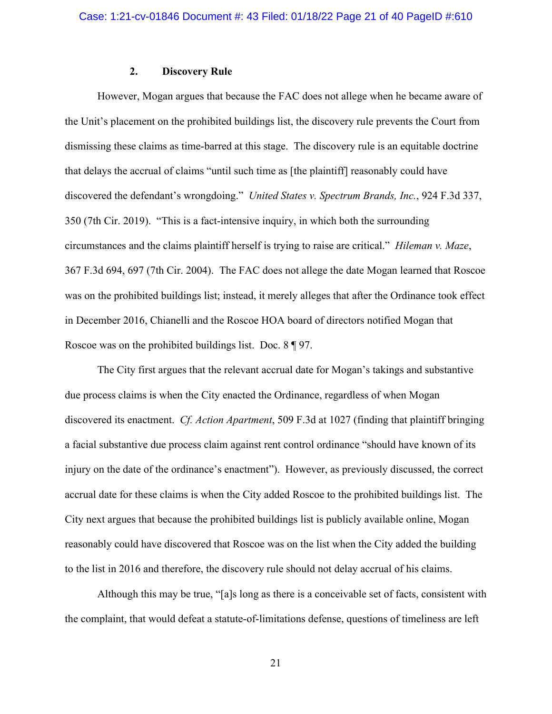### **2. Discovery Rule**

However, Mogan argues that because the FAC does not allege when he became aware of the Unit's placement on the prohibited buildings list, the discovery rule prevents the Court from dismissing these claims as time-barred at this stage. The discovery rule is an equitable doctrine that delays the accrual of claims "until such time as [the plaintiff] reasonably could have discovered the defendant's wrongdoing." *United States v. Spectrum Brands, Inc.*, 924 F.3d 337, 350 (7th Cir. 2019). "This is a fact-intensive inquiry, in which both the surrounding circumstances and the claims plaintiff herself is trying to raise are critical." *Hileman v. Maze*, 367 F.3d 694, 697 (7th Cir. 2004). The FAC does not allege the date Mogan learned that Roscoe was on the prohibited buildings list; instead, it merely alleges that after the Ordinance took effect in December 2016, Chianelli and the Roscoe HOA board of directors notified Mogan that Roscoe was on the prohibited buildings list. Doc. 8 ¶ 97.

The City first argues that the relevant accrual date for Mogan's takings and substantive due process claims is when the City enacted the Ordinance, regardless of when Mogan discovered its enactment. *Cf. Action Apartment*, 509 F.3d at 1027 (finding that plaintiff bringing a facial substantive due process claim against rent control ordinance "should have known of its injury on the date of the ordinance's enactment"). However, as previously discussed, the correct accrual date for these claims is when the City added Roscoe to the prohibited buildings list. The City next argues that because the prohibited buildings list is publicly available online, Mogan reasonably could have discovered that Roscoe was on the list when the City added the building to the list in 2016 and therefore, the discovery rule should not delay accrual of his claims.

Although this may be true, "[a]s long as there is a conceivable set of facts, consistent with the complaint, that would defeat a statute-of-limitations defense, questions of timeliness are left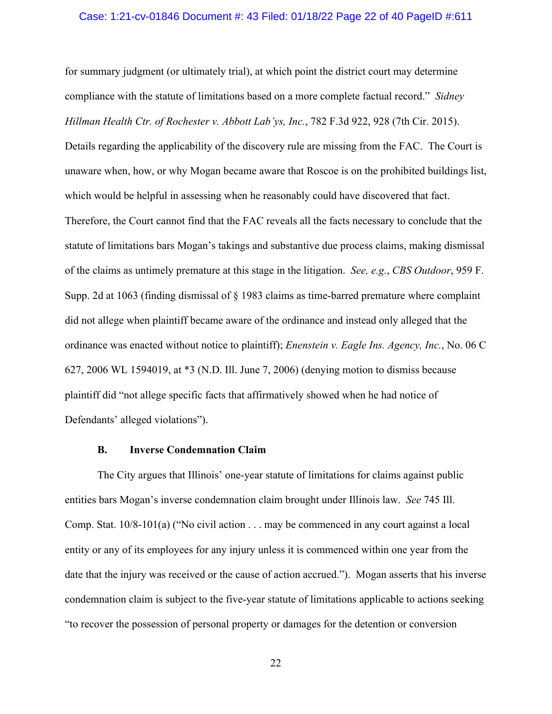#### Case: 1:21-cv-01846 Document #: 43 Filed: 01/18/22 Page 22 of 40 PageID #:611

for summary judgment (or ultimately trial), at which point the district court may determine compliance with the statute of limitations based on a more complete factual record." *Sidney Hillman Health Ctr. of Rochester v. Abbott Lab'ys, Inc.*, 782 F.3d 922, 928 (7th Cir. 2015).

Details regarding the applicability of the discovery rule are missing from the FAC. The Court is unaware when, how, or why Mogan became aware that Roscoe is on the prohibited buildings list, which would be helpful in assessing when he reasonably could have discovered that fact.

Therefore, the Court cannot find that the FAC reveals all the facts necessary to conclude that the statute of limitations bars Mogan's takings and substantive due process claims, making dismissal of the claims as untimely premature at this stage in the litigation. *See, e.g.*, *CBS Outdoor*, 959 F. Supp. 2d at 1063 (finding dismissal of § 1983 claims as time-barred premature where complaint did not allege when plaintiff became aware of the ordinance and instead only alleged that the ordinance was enacted without notice to plaintiff); *Enenstein v. Eagle Ins. Agency, Inc.*, No. 06 C 627, 2006 WL 1594019, at \*3 (N.D. Ill. June 7, 2006) (denying motion to dismiss because plaintiff did "not allege specific facts that affirmatively showed when he had notice of Defendants' alleged violations").

#### **B. Inverse Condemnation Claim**

The City argues that Illinois' one-year statute of limitations for claims against public entities bars Mogan's inverse condemnation claim brought under Illinois law. *See* 745 Ill. Comp. Stat. 10/8-101(a) ("No civil action . . . may be commenced in any court against a local entity or any of its employees for any injury unless it is commenced within one year from the date that the injury was received or the cause of action accrued."). Mogan asserts that his inverse condemnation claim is subject to the five-year statute of limitations applicable to actions seeking "to recover the possession of personal property or damages for the detention or conversion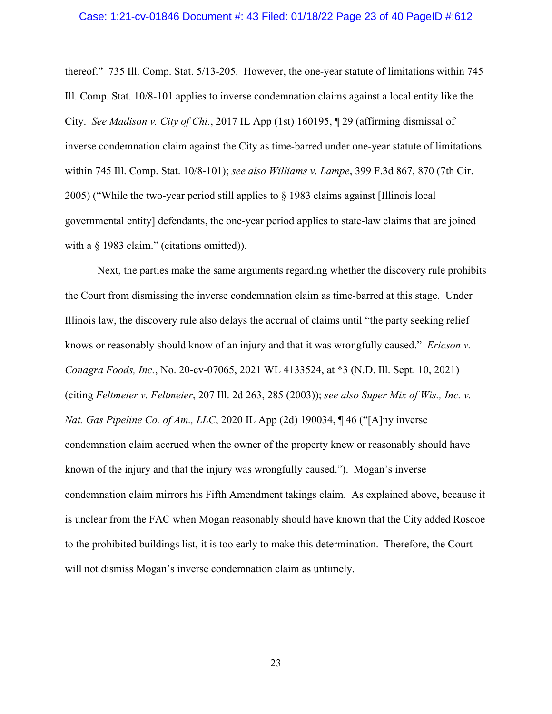#### Case: 1:21-cv-01846 Document #: 43 Filed: 01/18/22 Page 23 of 40 PageID #:612

thereof." 735 Ill. Comp. Stat. 5/13-205. However, the one-year statute of limitations within 745 Ill. Comp. Stat. 10/8-101 applies to inverse condemnation claims against a local entity like the City. *See Madison v. City of Chi.*, 2017 IL App (1st) 160195, ¶ 29 (affirming dismissal of inverse condemnation claim against the City as time-barred under one-year statute of limitations within 745 Ill. Comp. Stat. 10/8-101); *see also Williams v. Lampe*, 399 F.3d 867, 870 (7th Cir. 2005) ("While the two-year period still applies to § 1983 claims against [Illinois local governmental entity] defendants, the one-year period applies to state-law claims that are joined with a  $\S$  1983 claim." (citations omitted)).

Next, the parties make the same arguments regarding whether the discovery rule prohibits the Court from dismissing the inverse condemnation claim as time-barred at this stage. Under Illinois law, the discovery rule also delays the accrual of claims until "the party seeking relief knows or reasonably should know of an injury and that it was wrongfully caused." *Ericson v. Conagra Foods, Inc.*, No. 20-cv-07065, 2021 WL 4133524, at \*3 (N.D. Ill. Sept. 10, 2021) (citing *Feltmeier v. Feltmeier*, 207 Ill. 2d 263, 285 (2003)); *see also Super Mix of Wis., Inc. v. Nat. Gas Pipeline Co. of Am., LLC*, 2020 IL App (2d) 190034, ¶ 46 ("[A]ny inverse condemnation claim accrued when the owner of the property knew or reasonably should have known of the injury and that the injury was wrongfully caused."). Mogan's inverse condemnation claim mirrors his Fifth Amendment takings claim. As explained above, because it is unclear from the FAC when Mogan reasonably should have known that the City added Roscoe to the prohibited buildings list, it is too early to make this determination. Therefore, the Court will not dismiss Mogan's inverse condemnation claim as untimely.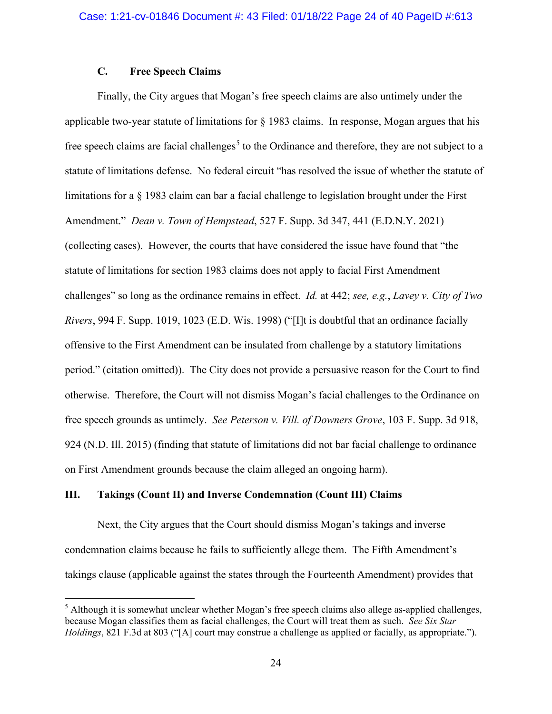# **C. Free Speech Claims**

Finally, the City argues that Mogan's free speech claims are also untimely under the applicable two-year statute of limitations for § 1983 claims. In response, Mogan argues that his free speech claims are facial challenges<sup>[5](#page-23-0)</sup> to the Ordinance and therefore, they are not subject to a statute of limitations defense. No federal circuit "has resolved the issue of whether the statute of limitations for a § 1983 claim can bar a facial challenge to legislation brought under the First Amendment." *Dean v. Town of Hempstead*, 527 F. Supp. 3d 347, 441 (E.D.N.Y. 2021) (collecting cases). However, the courts that have considered the issue have found that "the statute of limitations for section 1983 claims does not apply to facial First Amendment challenges" so long as the ordinance remains in effect. *Id.* at 442; *see, e.g.*, *Lavey v. City of Two Rivers*, 994 F. Supp. 1019, 1023 (E.D. Wis. 1998) ("[I]t is doubtful that an ordinance facially offensive to the First Amendment can be insulated from challenge by a statutory limitations period." (citation omitted)). The City does not provide a persuasive reason for the Court to find otherwise. Therefore, the Court will not dismiss Mogan's facial challenges to the Ordinance on free speech grounds as untimely. *See Peterson v. Vill. of Downers Grove*, 103 F. Supp. 3d 918, 924 (N.D. Ill. 2015) (finding that statute of limitations did not bar facial challenge to ordinance on First Amendment grounds because the claim alleged an ongoing harm).

### **III. Takings (Count II) and Inverse Condemnation (Count III) Claims**

Next, the City argues that the Court should dismiss Mogan's takings and inverse condemnation claims because he fails to sufficiently allege them. The Fifth Amendment's takings clause (applicable against the states through the Fourteenth Amendment) provides that

<span id="page-23-0"></span> $<sup>5</sup>$  Although it is somewhat unclear whether Mogan's free speech claims also allege as-applied challenges,</sup> because Mogan classifies them as facial challenges, the Court will treat them as such. *See Six Star Holdings*, 821 F.3d at 803 ("[A] court may construe a challenge as applied or facially, as appropriate.").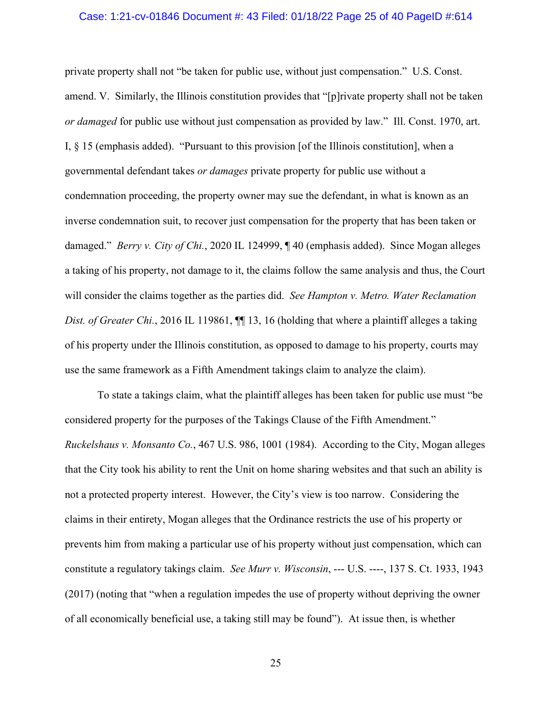#### Case: 1:21-cv-01846 Document #: 43 Filed: 01/18/22 Page 25 of 40 PageID #:614

private property shall not "be taken for public use, without just compensation." U.S. Const. amend. V. Similarly, the Illinois constitution provides that "[p]rivate property shall not be taken *or damaged* for public use without just compensation as provided by law." Ill. Const. 1970, art. I, § 15 (emphasis added). "Pursuant to this provision [of the Illinois constitution], when a governmental defendant takes *or damages* private property for public use without a condemnation proceeding, the property owner may sue the defendant, in what is known as an inverse condemnation suit, to recover just compensation for the property that has been taken or damaged." *Berry v. City of Chi.*, 2020 IL 124999, ¶ 40 (emphasis added). Since Mogan alleges a taking of his property, not damage to it, the claims follow the same analysis and thus, the Court will consider the claims together as the parties did. *See Hampton v. Metro. Water Reclamation Dist. of Greater Chi.*, 2016 IL 119861, **[1]** 13, 16 (holding that where a plaintiff alleges a taking of his property under the Illinois constitution, as opposed to damage to his property, courts may use the same framework as a Fifth Amendment takings claim to analyze the claim).

To state a takings claim, what the plaintiff alleges has been taken for public use must "be considered property for the purposes of the Takings Clause of the Fifth Amendment." *Ruckelshaus v. Monsanto Co.*, 467 U.S. 986, 1001 (1984). According to the City, Mogan alleges that the City took his ability to rent the Unit on home sharing websites and that such an ability is not a protected property interest. However, the City's view is too narrow. Considering the claims in their entirety, Mogan alleges that the Ordinance restricts the use of his property or prevents him from making a particular use of his property without just compensation, which can constitute a regulatory takings claim. *See Murr v. Wisconsin*, --- U.S. ----, 137 S. Ct. 1933, 1943 (2017) (noting that "when a regulation impedes the use of property without depriving the owner of all economically beneficial use, a taking still may be found"). At issue then, is whether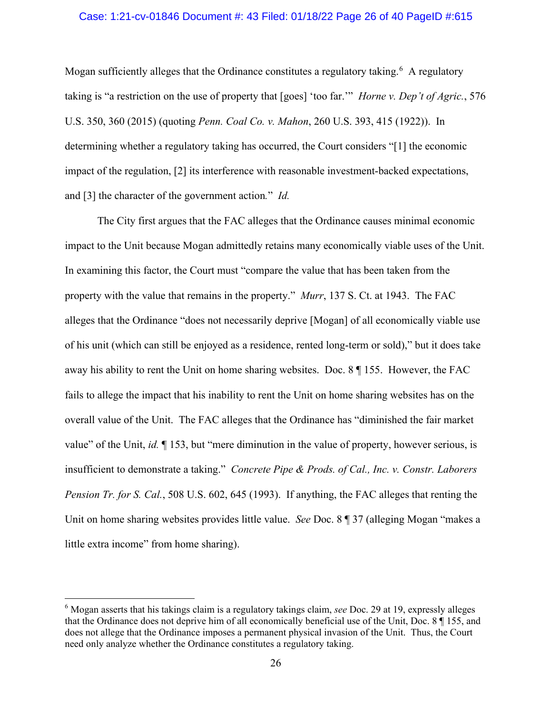#### Case: 1:21-cv-01846 Document #: 43 Filed: 01/18/22 Page 26 of 40 PageID #:615

Mogan sufficiently alleges that the Ordinance constitutes a regulatory taking.<sup>[6](#page-25-0)</sup> A regulatory taking is "a restriction on the use of property that [goes] 'too far.'" *Horne v. Dep't of Agric.*, 576 U.S. 350, 360 (2015) (quoting *Penn. Coal Co. v. Mahon*, 260 U.S. 393, 415 (1922)). In determining whether a regulatory taking has occurred, the Court considers "[1] the economic impact of the regulation, [2] its interference with reasonable investment-backed expectations, and [3] the character of the government action*.*" *Id.*

The City first argues that the FAC alleges that the Ordinance causes minimal economic impact to the Unit because Mogan admittedly retains many economically viable uses of the Unit. In examining this factor, the Court must "compare the value that has been taken from the property with the value that remains in the property." *Murr*, 137 S. Ct. at 1943. The FAC alleges that the Ordinance "does not necessarily deprive [Mogan] of all economically viable use of his unit (which can still be enjoyed as a residence, rented long-term or sold)," but it does take away his ability to rent the Unit on home sharing websites. Doc. 8 ¶ 155. However, the FAC fails to allege the impact that his inability to rent the Unit on home sharing websites has on the overall value of the Unit. The FAC alleges that the Ordinance has "diminished the fair market value" of the Unit, *id.* ¶ 153, but "mere diminution in the value of property, however serious, is insufficient to demonstrate a taking." *Concrete Pipe & Prods. of Cal., Inc. v. Constr. Laborers Pension Tr. for S. Cal.*, 508 U.S. 602, 645 (1993). If anything, the FAC alleges that renting the Unit on home sharing websites provides little value. *See* Doc. 8 ¶ 37 (alleging Mogan "makes a little extra income" from home sharing).

<span id="page-25-0"></span><sup>6</sup> Mogan asserts that his takings claim is a regulatory takings claim, *see* Doc. 29 at 19, expressly alleges that the Ordinance does not deprive him of all economically beneficial use of the Unit, Doc. 8 ¶ 155, and does not allege that the Ordinance imposes a permanent physical invasion of the Unit. Thus, the Court need only analyze whether the Ordinance constitutes a regulatory taking.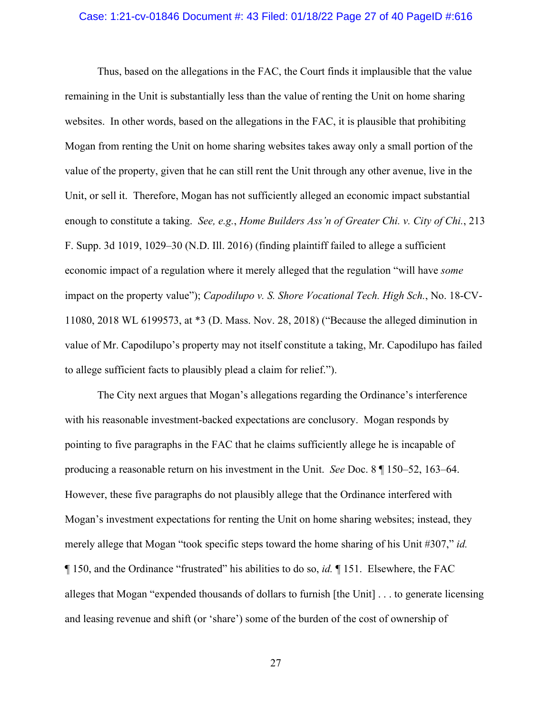#### Case: 1:21-cv-01846 Document #: 43 Filed: 01/18/22 Page 27 of 40 PageID #:616

Thus, based on the allegations in the FAC, the Court finds it implausible that the value remaining in the Unit is substantially less than the value of renting the Unit on home sharing websites. In other words, based on the allegations in the FAC, it is plausible that prohibiting Mogan from renting the Unit on home sharing websites takes away only a small portion of the value of the property, given that he can still rent the Unit through any other avenue, live in the Unit, or sell it. Therefore, Mogan has not sufficiently alleged an economic impact substantial enough to constitute a taking. *See, e.g.*, *Home Builders Ass'n of Greater Chi. v. City of Chi.*, 213 F. Supp. 3d 1019, 1029–30 (N.D. Ill. 2016) (finding plaintiff failed to allege a sufficient economic impact of a regulation where it merely alleged that the regulation "will have *some* impact on the property value"); *Capodilupo v. S. Shore Vocational Tech. High Sch.*, No. 18-CV-11080, 2018 WL 6199573, at \*3 (D. Mass. Nov. 28, 2018) ("Because the alleged diminution in value of Mr. Capodilupo's property may not itself constitute a taking, Mr. Capodilupo has failed to allege sufficient facts to plausibly plead a claim for relief.").

The City next argues that Mogan's allegations regarding the Ordinance's interference with his reasonable investment-backed expectations are conclusory. Mogan responds by pointing to five paragraphs in the FAC that he claims sufficiently allege he is incapable of producing a reasonable return on his investment in the Unit. *See* Doc. 8 ¶ 150–52, 163–64. However, these five paragraphs do not plausibly allege that the Ordinance interfered with Mogan's investment expectations for renting the Unit on home sharing websites; instead, they merely allege that Mogan "took specific steps toward the home sharing of his Unit #307," *id.* ¶ 150, and the Ordinance "frustrated" his abilities to do so, *id.* ¶ 151. Elsewhere, the FAC alleges that Mogan "expended thousands of dollars to furnish [the Unit] . . . to generate licensing and leasing revenue and shift (or 'share') some of the burden of the cost of ownership of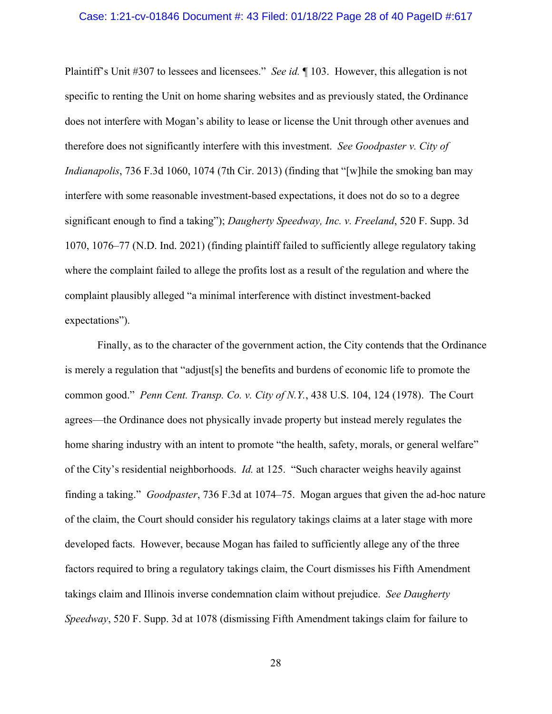#### Case: 1:21-cv-01846 Document #: 43 Filed: 01/18/22 Page 28 of 40 PageID #:617

Plaintiff's Unit #307 to lessees and licensees." *See id.* ¶ 103. However, this allegation is not specific to renting the Unit on home sharing websites and as previously stated, the Ordinance does not interfere with Mogan's ability to lease or license the Unit through other avenues and therefore does not significantly interfere with this investment. *See Goodpaster v. City of Indianapolis*, 736 F.3d 1060, 1074 (7th Cir. 2013) (finding that "[w]hile the smoking ban may interfere with some reasonable investment-based expectations, it does not do so to a degree significant enough to find a taking"); *Daugherty Speedway, Inc. v. Freeland*, 520 F. Supp. 3d 1070, 1076–77 (N.D. Ind. 2021) (finding plaintiff failed to sufficiently allege regulatory taking where the complaint failed to allege the profits lost as a result of the regulation and where the complaint plausibly alleged "a minimal interference with distinct investment-backed expectations").

Finally, as to the character of the government action, the City contends that the Ordinance is merely a regulation that "adjust[s] the benefits and burdens of economic life to promote the common good." *Penn Cent. Transp. Co. v. City of N.Y.*, 438 U.S. 104, 124 (1978). The Court agrees—the Ordinance does not physically invade property but instead merely regulates the home sharing industry with an intent to promote "the health, safety, morals, or general welfare" of the City's residential neighborhoods. *Id.* at 125. "Such character weighs heavily against finding a taking." *Goodpaster*, 736 F.3d at 1074–75. Mogan argues that given the ad-hoc nature of the claim, the Court should consider his regulatory takings claims at a later stage with more developed facts. However, because Mogan has failed to sufficiently allege any of the three factors required to bring a regulatory takings claim, the Court dismisses his Fifth Amendment takings claim and Illinois inverse condemnation claim without prejudice. *See Daugherty Speedway*, 520 F. Supp. 3d at 1078 (dismissing Fifth Amendment takings claim for failure to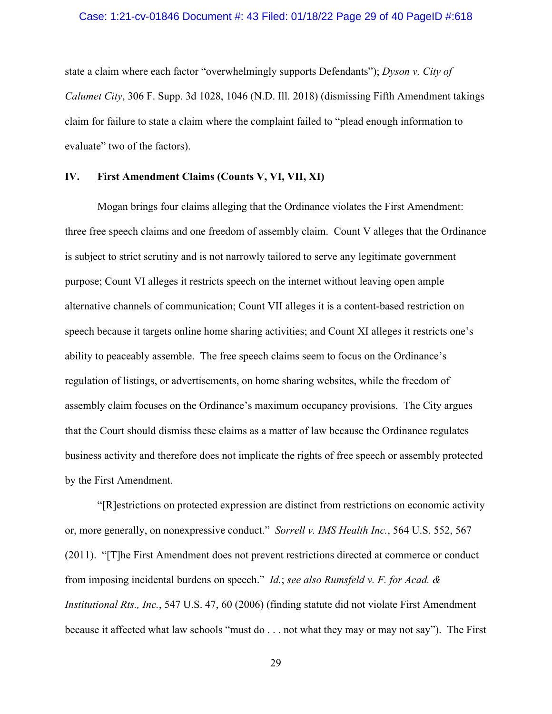#### Case: 1:21-cv-01846 Document #: 43 Filed: 01/18/22 Page 29 of 40 PageID #:618

state a claim where each factor "overwhelmingly supports Defendants"); *Dyson v. City of Calumet City*, 306 F. Supp. 3d 1028, 1046 (N.D. Ill. 2018) (dismissing Fifth Amendment takings claim for failure to state a claim where the complaint failed to "plead enough information to evaluate" two of the factors).

### **IV. First Amendment Claims (Counts V, VI, VII, XI)**

Mogan brings four claims alleging that the Ordinance violates the First Amendment: three free speech claims and one freedom of assembly claim. Count V alleges that the Ordinance is subject to strict scrutiny and is not narrowly tailored to serve any legitimate government purpose; Count VI alleges it restricts speech on the internet without leaving open ample alternative channels of communication; Count VII alleges it is a content-based restriction on speech because it targets online home sharing activities; and Count XI alleges it restricts one's ability to peaceably assemble. The free speech claims seem to focus on the Ordinance's regulation of listings, or advertisements, on home sharing websites, while the freedom of assembly claim focuses on the Ordinance's maximum occupancy provisions. The City argues that the Court should dismiss these claims as a matter of law because the Ordinance regulates business activity and therefore does not implicate the rights of free speech or assembly protected by the First Amendment.

"[R]estrictions on protected expression are distinct from restrictions on economic activity or, more generally, on nonexpressive conduct." *Sorrell v. IMS Health Inc.*, 564 U.S. 552, 567 (2011). "[T]he First Amendment does not prevent restrictions directed at commerce or conduct from imposing incidental burdens on speech." *Id.*; *see also Rumsfeld v. F. for Acad. & Institutional Rts., Inc.*, 547 U.S. 47, 60 (2006) (finding statute did not violate First Amendment because it affected what law schools "must do . . . not what they may or may not say"). The First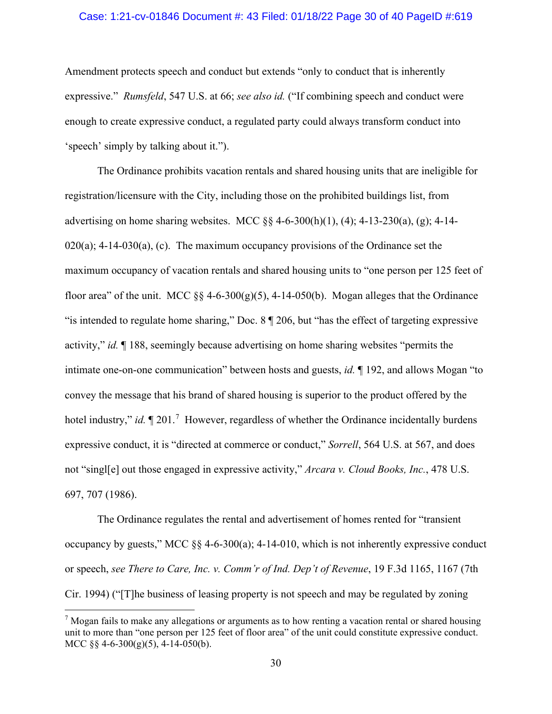#### Case: 1:21-cv-01846 Document #: 43 Filed: 01/18/22 Page 30 of 40 PageID #:619

Amendment protects speech and conduct but extends "only to conduct that is inherently expressive." *Rumsfeld*, 547 U.S. at 66; *see also id.* ("If combining speech and conduct were enough to create expressive conduct, a regulated party could always transform conduct into 'speech' simply by talking about it.").

The Ordinance prohibits vacation rentals and shared housing units that are ineligible for registration/licensure with the City, including those on the prohibited buildings list, from advertising on home sharing websites. MCC §§ 4-6-300(h)(1), (4); 4-13-230(a), (g); 4-14-  $020(a)$ ; 4-14-030(a), (c). The maximum occupancy provisions of the Ordinance set the maximum occupancy of vacation rentals and shared housing units to "one person per 125 feet of floor area" of the unit. MCC  $\S$ § 4-6-300(g)(5), 4-14-050(b). Mogan alleges that the Ordinance "is intended to regulate home sharing," Doc. 8 ¶ 206, but "has the effect of targeting expressive activity," *id.* ¶ 188, seemingly because advertising on home sharing websites "permits the intimate one-on-one communication" between hosts and guests, *id.* ¶ 192, and allows Mogan "to convey the message that his brand of shared housing is superior to the product offered by the hotel industry," *id.*  $\P$  201.<sup>[7](#page-29-0)</sup> However, regardless of whether the Ordinance incidentally burdens expressive conduct, it is "directed at commerce or conduct," *Sorrell*, 564 U.S. at 567, and does not "singl[e] out those engaged in expressive activity," *Arcara v. Cloud Books, Inc.*, 478 U.S. 697, 707 (1986).

The Ordinance regulates the rental and advertisement of homes rented for "transient occupancy by guests," MCC §§ 4-6-300(a); 4-14-010, which is not inherently expressive conduct or speech, *see There to Care, Inc. v. Comm'r of Ind. Dep't of Revenue*, 19 F.3d 1165, 1167 (7th Cir. 1994) ("[T]he business of leasing property is not speech and may be regulated by zoning

<span id="page-29-0"></span><sup>&</sup>lt;sup>7</sup> Mogan fails to make any allegations or arguments as to how renting a vacation rental or shared housing unit to more than "one person per 125 feet of floor area" of the unit could constitute expressive conduct. MCC  $\S$ § 4-6-300(g)(5), 4-14-050(b).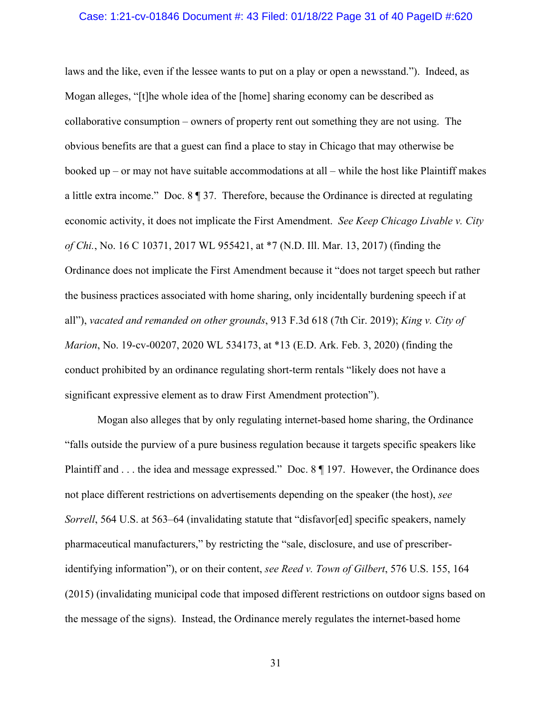#### Case: 1:21-cv-01846 Document #: 43 Filed: 01/18/22 Page 31 of 40 PageID #:620

laws and the like, even if the lessee wants to put on a play or open a newsstand."). Indeed, as Mogan alleges, "[t]he whole idea of the [home] sharing economy can be described as collaborative consumption – owners of property rent out something they are not using. The obvious benefits are that a guest can find a place to stay in Chicago that may otherwise be booked up – or may not have suitable accommodations at all – while the host like Plaintiff makes a little extra income." Doc. 8 ¶ 37. Therefore, because the Ordinance is directed at regulating economic activity, it does not implicate the First Amendment. *See Keep Chicago Livable v. City of Chi.*, No. 16 C 10371, 2017 WL 955421, at \*7 (N.D. Ill. Mar. 13, 2017) (finding the Ordinance does not implicate the First Amendment because it "does not target speech but rather the business practices associated with home sharing, only incidentally burdening speech if at all"), *vacated and remanded on other grounds*, 913 F.3d 618 (7th Cir. 2019); *King v. City of Marion*, No. 19-cv-00207, 2020 WL 534173, at \*13 (E.D. Ark. Feb. 3, 2020) (finding the conduct prohibited by an ordinance regulating short-term rentals "likely does not have a significant expressive element as to draw First Amendment protection").

Mogan also alleges that by only regulating internet-based home sharing, the Ordinance "falls outside the purview of a pure business regulation because it targets specific speakers like Plaintiff and . . . the idea and message expressed." Doc. 8 || 197. However, the Ordinance does not place different restrictions on advertisements depending on the speaker (the host), *see Sorrell*, 564 U.S. at 563–64 (invalidating statute that "disfavor[ed] specific speakers, namely pharmaceutical manufacturers," by restricting the "sale, disclosure, and use of prescriberidentifying information"), or on their content, *see Reed v. Town of Gilbert*, 576 U.S. 155, 164 (2015) (invalidating municipal code that imposed different restrictions on outdoor signs based on the message of the signs). Instead, the Ordinance merely regulates the internet-based home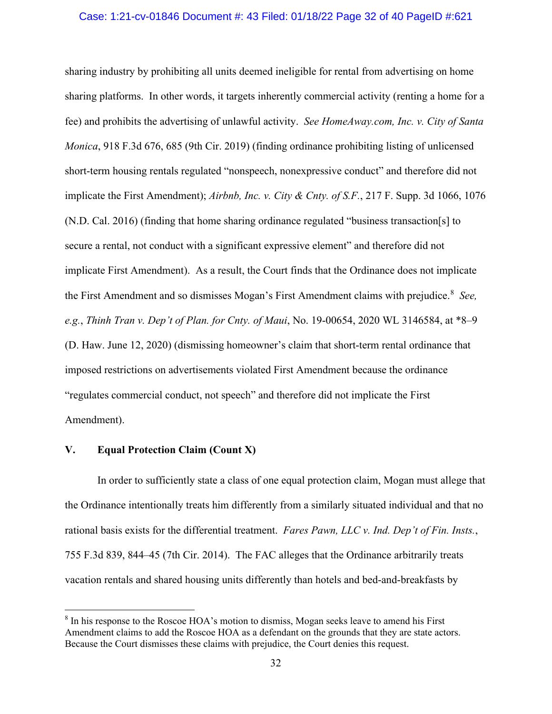#### Case: 1:21-cv-01846 Document #: 43 Filed: 01/18/22 Page 32 of 40 PageID #:621

sharing industry by prohibiting all units deemed ineligible for rental from advertising on home sharing platforms. In other words, it targets inherently commercial activity (renting a home for a fee) and prohibits the advertising of unlawful activity. *See HomeAway.com, Inc. v. City of Santa Monica*, 918 F.3d 676, 685 (9th Cir. 2019) (finding ordinance prohibiting listing of unlicensed short-term housing rentals regulated "nonspeech, nonexpressive conduct" and therefore did not implicate the First Amendment); *Airbnb, Inc. v. City & Cnty. of S.F.*, 217 F. Supp. 3d 1066, 1076 (N.D. Cal. 2016) (finding that home sharing ordinance regulated "business transaction[s] to secure a rental, not conduct with a significant expressive element" and therefore did not implicate First Amendment). As a result, the Court finds that the Ordinance does not implicate the First Amendment and so dismisses Mogan's First Amendment claims with prejudice. [8](#page-31-0) *See, e.g.*, *Thinh Tran v. Dep't of Plan. for Cnty. of Maui*, No. 19-00654, 2020 WL 3146584, at \*8–9 (D. Haw. June 12, 2020) (dismissing homeowner's claim that short-term rental ordinance that imposed restrictions on advertisements violated First Amendment because the ordinance "regulates commercial conduct, not speech" and therefore did not implicate the First Amendment).

### **V. Equal Protection Claim (Count X)**

In order to sufficiently state a class of one equal protection claim, Mogan must allege that the Ordinance intentionally treats him differently from a similarly situated individual and that no rational basis exists for the differential treatment. *Fares Pawn, LLC v. Ind. Dep't of Fin. Insts.*, 755 F.3d 839, 844–45 (7th Cir. 2014). The FAC alleges that the Ordinance arbitrarily treats vacation rentals and shared housing units differently than hotels and bed-and-breakfasts by

<span id="page-31-0"></span><sup>8</sup> In his response to the Roscoe HOA's motion to dismiss, Mogan seeks leave to amend his First Amendment claims to add the Roscoe HOA as a defendant on the grounds that they are state actors. Because the Court dismisses these claims with prejudice, the Court denies this request.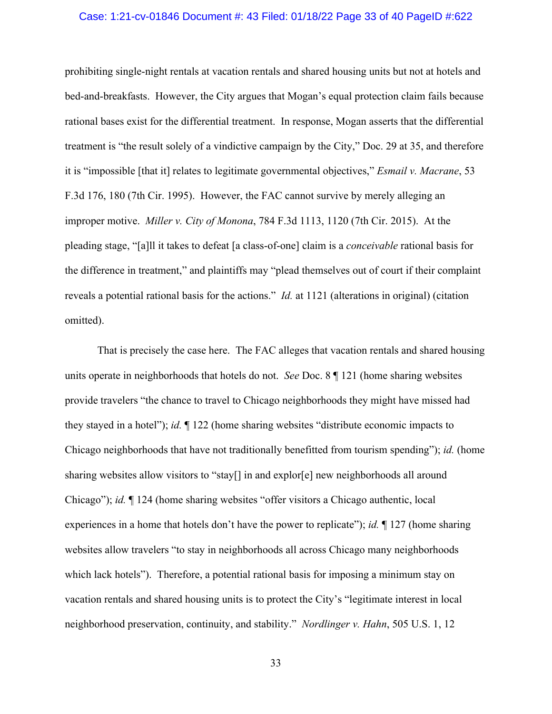#### Case: 1:21-cv-01846 Document #: 43 Filed: 01/18/22 Page 33 of 40 PageID #:622

prohibiting single-night rentals at vacation rentals and shared housing units but not at hotels and bed-and-breakfasts. However, the City argues that Mogan's equal protection claim fails because rational bases exist for the differential treatment. In response, Mogan asserts that the differential treatment is "the result solely of a vindictive campaign by the City," Doc. 29 at 35, and therefore it is "impossible [that it] relates to legitimate governmental objectives," *Esmail v. Macrane*, 53 F.3d 176, 180 (7th Cir. 1995). However, the FAC cannot survive by merely alleging an improper motive. *Miller v. City of Monona*, 784 F.3d 1113, 1120 (7th Cir. 2015). At the pleading stage, "[a]ll it takes to defeat [a class-of-one] claim is a *conceivable* rational basis for the difference in treatment," and plaintiffs may "plead themselves out of court if their complaint reveals a potential rational basis for the actions." *Id.* at 1121 (alterations in original) (citation omitted).

That is precisely the case here. The FAC alleges that vacation rentals and shared housing units operate in neighborhoods that hotels do not. *See* Doc. 8 ¶ 121 (home sharing websites provide travelers "the chance to travel to Chicago neighborhoods they might have missed had they stayed in a hotel"); *id.* ¶ 122 (home sharing websites "distribute economic impacts to Chicago neighborhoods that have not traditionally benefitted from tourism spending"); *id.* (home sharing websites allow visitors to "stay[] in and explor[e] new neighborhoods all around Chicago"); *id.* ¶ 124 (home sharing websites "offer visitors a Chicago authentic, local experiences in a home that hotels don't have the power to replicate"); *id.* ¶ 127 (home sharing websites allow travelers "to stay in neighborhoods all across Chicago many neighborhoods which lack hotels"). Therefore, a potential rational basis for imposing a minimum stay on vacation rentals and shared housing units is to protect the City's "legitimate interest in local neighborhood preservation, continuity, and stability." *Nordlinger v. Hahn*, 505 U.S. 1, 12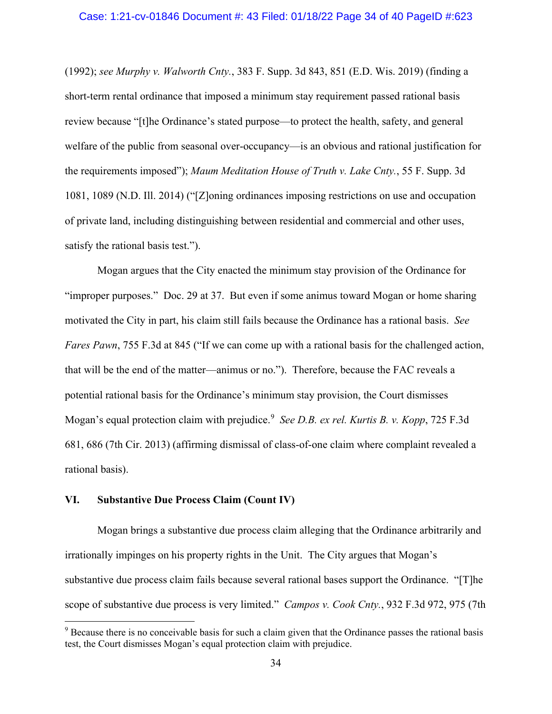#### Case: 1:21-cv-01846 Document #: 43 Filed: 01/18/22 Page 34 of 40 PageID #:623

(1992); *see Murphy v. Walworth Cnty.*, 383 F. Supp. 3d 843, 851 (E.D. Wis. 2019) (finding a short-term rental ordinance that imposed a minimum stay requirement passed rational basis review because "[t]he Ordinance's stated purpose—to protect the health, safety, and general welfare of the public from seasonal over-occupancy—is an obvious and rational justification for the requirements imposed"); *Maum Meditation House of Truth v. Lake Cnty.*, 55 F. Supp. 3d 1081, 1089 (N.D. Ill. 2014) ("[Z]oning ordinances imposing restrictions on use and occupation of private land, including distinguishing between residential and commercial and other uses, satisfy the rational basis test.").

Mogan argues that the City enacted the minimum stay provision of the Ordinance for "improper purposes." Doc. 29 at 37. But even if some animus toward Mogan or home sharing motivated the City in part, his claim still fails because the Ordinance has a rational basis. *See Fares Pawn*, 755 F.3d at 845 ("If we can come up with a rational basis for the challenged action, that will be the end of the matter—animus or no."). Therefore, because the FAC reveals a potential rational basis for the Ordinance's minimum stay provision, the Court dismisses Mogan's equal protection claim with prejudice. [9](#page-33-0) *See D.B. ex rel. Kurtis B. v. Kopp*, 725 F.3d 681, 686 (7th Cir. 2013) (affirming dismissal of class-of-one claim where complaint revealed a rational basis).

### **VI. Substantive Due Process Claim (Count IV)**

Mogan brings a substantive due process claim alleging that the Ordinance arbitrarily and irrationally impinges on his property rights in the Unit. The City argues that Mogan's substantive due process claim fails because several rational bases support the Ordinance. "[T]he scope of substantive due process is very limited." *Campos v. Cook Cnty.*, 932 F.3d 972, 975 (7th

<span id="page-33-0"></span><sup>&</sup>lt;sup>9</sup> Because there is no conceivable basis for such a claim given that the Ordinance passes the rational basis test, the Court dismisses Mogan's equal protection claim with prejudice.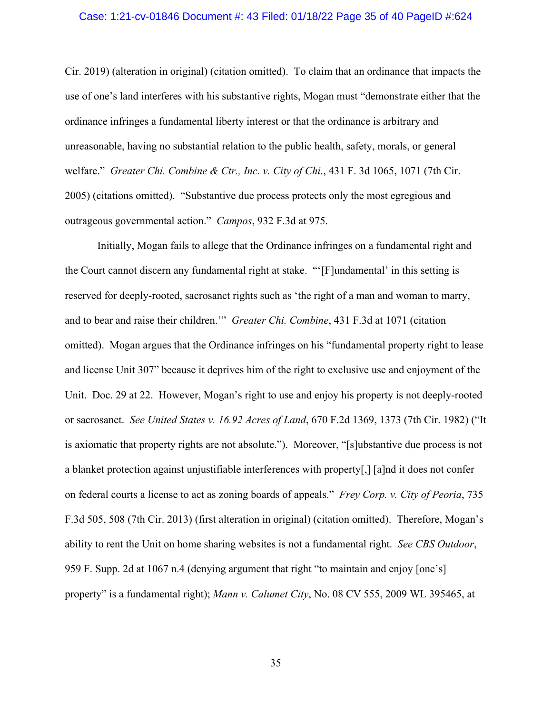#### Case: 1:21-cv-01846 Document #: 43 Filed: 01/18/22 Page 35 of 40 PageID #:624

Cir. 2019) (alteration in original) (citation omitted). To claim that an ordinance that impacts the use of one's land interferes with his substantive rights, Mogan must "demonstrate either that the ordinance infringes a fundamental liberty interest or that the ordinance is arbitrary and unreasonable, having no substantial relation to the public health, safety, morals, or general welfare." *Greater Chi. Combine & Ctr., Inc. v. City of Chi.*, 431 F. 3d 1065, 1071 (7th Cir. 2005) (citations omitted). "Substantive due process protects only the most egregious and outrageous governmental action." *Campos*, 932 F.3d at 975.

Initially, Mogan fails to allege that the Ordinance infringes on a fundamental right and the Court cannot discern any fundamental right at stake. "'[F]undamental' in this setting is reserved for deeply-rooted, sacrosanct rights such as 'the right of a man and woman to marry, and to bear and raise their children.'" *Greater Chi. Combine*, 431 F.3d at 1071 (citation omitted). Mogan argues that the Ordinance infringes on his "fundamental property right to lease and license Unit 307" because it deprives him of the right to exclusive use and enjoyment of the Unit. Doc. 29 at 22. However, Mogan's right to use and enjoy his property is not deeply-rooted or sacrosanct. *See United States v. 16.92 Acres of Land*, 670 F.2d 1369, 1373 (7th Cir. 1982) ("It is axiomatic that property rights are not absolute."). Moreover, "[s]ubstantive due process is not a blanket protection against unjustifiable interferences with property[,] [a]nd it does not confer on federal courts a license to act as zoning boards of appeals." *Frey Corp. v. City of Peoria*, 735 F.3d 505, 508 (7th Cir. 2013) (first alteration in original) (citation omitted). Therefore, Mogan's ability to rent the Unit on home sharing websites is not a fundamental right. *See CBS Outdoor*, 959 F. Supp. 2d at 1067 n.4 (denying argument that right "to maintain and enjoy [one's] property" is a fundamental right); *Mann v. Calumet City*, No. 08 CV 555, 2009 WL 395465, at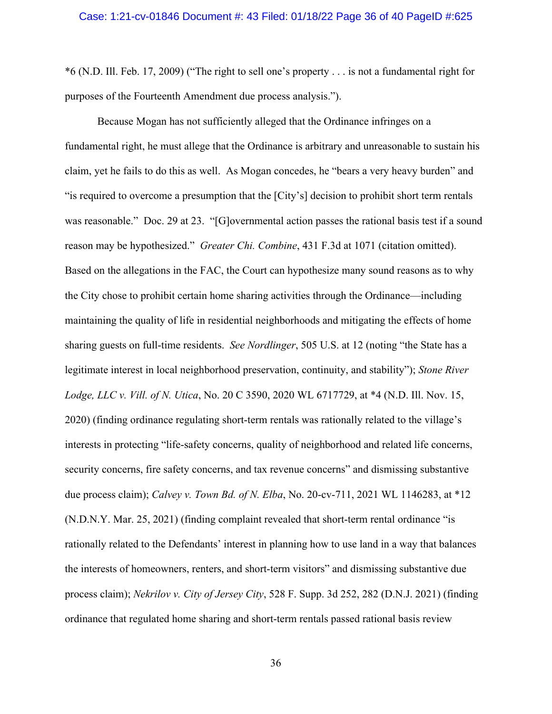\*6 (N.D. Ill. Feb. 17, 2009) ("The right to sell one's property . . . is not a fundamental right for purposes of the Fourteenth Amendment due process analysis.").

Because Mogan has not sufficiently alleged that the Ordinance infringes on a fundamental right, he must allege that the Ordinance is arbitrary and unreasonable to sustain his claim, yet he fails to do this as well. As Mogan concedes, he "bears a very heavy burden" and "is required to overcome a presumption that the [City's] decision to prohibit short term rentals was reasonable." Doc. 29 at 23. "[G]overnmental action passes the rational basis test if a sound reason may be hypothesized." *Greater Chi. Combine*, 431 F.3d at 1071 (citation omitted). Based on the allegations in the FAC, the Court can hypothesize many sound reasons as to why the City chose to prohibit certain home sharing activities through the Ordinance—including maintaining the quality of life in residential neighborhoods and mitigating the effects of home sharing guests on full-time residents. *See Nordlinger*, 505 U.S. at 12 (noting "the State has a legitimate interest in local neighborhood preservation, continuity, and stability"); *Stone River Lodge, LLC v. Vill. of N. Utica*, No. 20 C 3590, 2020 WL 6717729, at \*4 (N.D. Ill. Nov. 15, 2020) (finding ordinance regulating short-term rentals was rationally related to the village's interests in protecting "life-safety concerns, quality of neighborhood and related life concerns, security concerns, fire safety concerns, and tax revenue concerns" and dismissing substantive due process claim); *Calvey v. Town Bd. of N. Elba*, No. 20-cv-711, 2021 WL 1146283, at \*12 (N.D.N.Y. Mar. 25, 2021) (finding complaint revealed that short-term rental ordinance "is rationally related to the Defendants' interest in planning how to use land in a way that balances the interests of homeowners, renters, and short-term visitors" and dismissing substantive due process claim); *Nekrilov v. City of Jersey City*, 528 F. Supp. 3d 252, 282 (D.N.J. 2021) (finding ordinance that regulated home sharing and short-term rentals passed rational basis review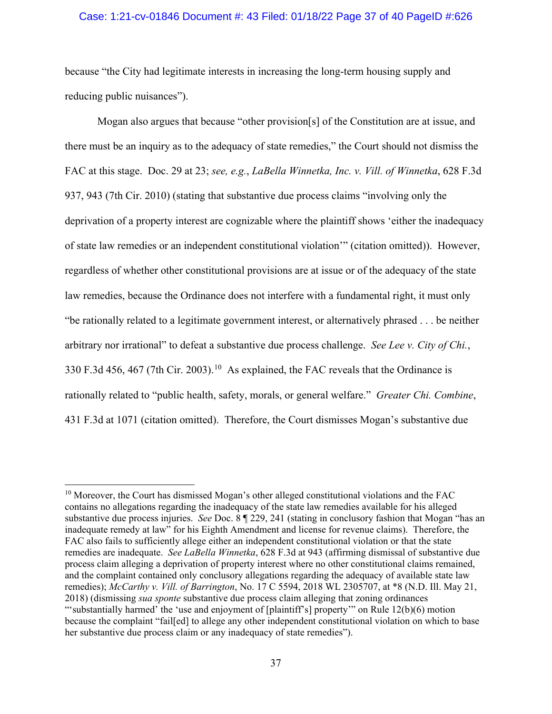### Case: 1:21-cv-01846 Document #: 43 Filed: 01/18/22 Page 37 of 40 PageID #:626

because "the City had legitimate interests in increasing the long-term housing supply and reducing public nuisances".

Mogan also argues that because "other provision[s] of the Constitution are at issue, and there must be an inquiry as to the adequacy of state remedies," the Court should not dismiss the FAC at this stage. Doc. 29 at 23; *see, e.g.*, *LaBella Winnetka, Inc. v. Vill. of Winnetka*, 628 F.3d 937, 943 (7th Cir. 2010) (stating that substantive due process claims "involving only the deprivation of a property interest are cognizable where the plaintiff shows 'either the inadequacy of state law remedies or an independent constitutional violation'" (citation omitted)). However, regardless of whether other constitutional provisions are at issue or of the adequacy of the state law remedies, because the Ordinance does not interfere with a fundamental right, it must only "be rationally related to a legitimate government interest, or alternatively phrased . . . be neither arbitrary nor irrational" to defeat a substantive due process challenge. *See Lee v. City of Chi.*, 330 F.3d 456, 467 (7th Cir. 2003).<sup>10</sup> As explained, the FAC reveals that the Ordinance is rationally related to "public health, safety, morals, or general welfare." *Greater Chi. Combine*, 431 F.3d at 1071 (citation omitted). Therefore, the Court dismisses Mogan's substantive due

<span id="page-36-0"></span> $10$  Moreover, the Court has dismissed Mogan's other alleged constitutional violations and the FAC contains no allegations regarding the inadequacy of the state law remedies available for his alleged substantive due process injuries. *See* Doc. 8 ¶ 229, 241 (stating in conclusory fashion that Mogan "has an inadequate remedy at law" for his Eighth Amendment and license for revenue claims). Therefore, the FAC also fails to sufficiently allege either an independent constitutional violation or that the state remedies are inadequate. *See LaBella Winnetka*, 628 F.3d at 943 (affirming dismissal of substantive due process claim alleging a deprivation of property interest where no other constitutional claims remained, and the complaint contained only conclusory allegations regarding the adequacy of available state law remedies); *McCarthy v. Vill. of Barrington*, No. 17 C 5594, 2018 WL 2305707, at \*8 (N.D. Ill. May 21, 2018) (dismissing *sua sponte* substantive due process claim alleging that zoning ordinances "'substantially harmed' the 'use and enjoyment of [plaintiff's] property'" on Rule 12(b)(6) motion because the complaint "fail[ed] to allege any other independent constitutional violation on which to base her substantive due process claim or any inadequacy of state remedies").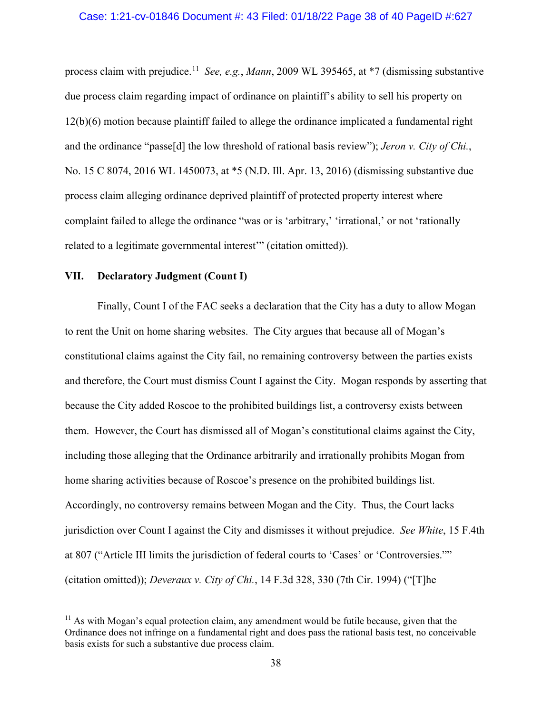#### Case: 1:21-cv-01846 Document #: 43 Filed: 01/18/22 Page 38 of 40 PageID #:627

process claim with prejudice. [11](#page-37-0) *See, e.g.*, *Mann*, 2009 WL 395465, at \*7 (dismissing substantive due process claim regarding impact of ordinance on plaintiff's ability to sell his property on 12(b)(6) motion because plaintiff failed to allege the ordinance implicated a fundamental right and the ordinance "passe[d] the low threshold of rational basis review"); *Jeron v. City of Chi.*, No. 15 C 8074, 2016 WL 1450073, at \*5 (N.D. Ill. Apr. 13, 2016) (dismissing substantive due process claim alleging ordinance deprived plaintiff of protected property interest where complaint failed to allege the ordinance "was or is 'arbitrary,' 'irrational,' or not 'rationally related to a legitimate governmental interest" (citation omitted)).

#### **VII. Declaratory Judgment (Count I)**

Finally, Count I of the FAC seeks a declaration that the City has a duty to allow Mogan to rent the Unit on home sharing websites. The City argues that because all of Mogan's constitutional claims against the City fail, no remaining controversy between the parties exists and therefore, the Court must dismiss Count I against the City. Mogan responds by asserting that because the City added Roscoe to the prohibited buildings list, a controversy exists between them. However, the Court has dismissed all of Mogan's constitutional claims against the City, including those alleging that the Ordinance arbitrarily and irrationally prohibits Mogan from home sharing activities because of Roscoe's presence on the prohibited buildings list. Accordingly, no controversy remains between Mogan and the City. Thus, the Court lacks jurisdiction over Count I against the City and dismisses it without prejudice. *See White*, 15 F.4th at 807 ("Article III limits the jurisdiction of federal courts to 'Cases' or 'Controversies."" (citation omitted)); *Deveraux v. City of Chi.*, 14 F.3d 328, 330 (7th Cir. 1994) ("[T]he

<span id="page-37-0"></span> $11$  As with Mogan's equal protection claim, any amendment would be futile because, given that the Ordinance does not infringe on a fundamental right and does pass the rational basis test, no conceivable basis exists for such a substantive due process claim.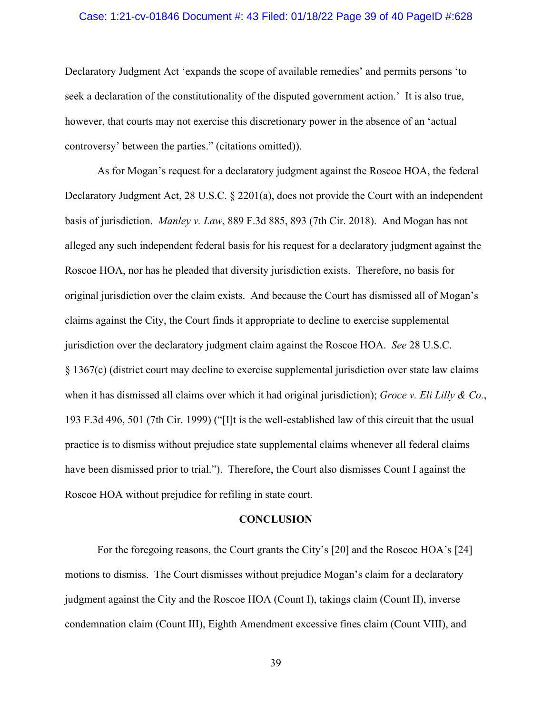#### Case: 1:21-cv-01846 Document #: 43 Filed: 01/18/22 Page 39 of 40 PageID #:628

Declaratory Judgment Act 'expands the scope of available remedies' and permits persons 'to seek a declaration of the constitutionality of the disputed government action.' It is also true, however, that courts may not exercise this discretionary power in the absence of an 'actual controversy' between the parties." (citations omitted)).

As for Mogan's request for a declaratory judgment against the Roscoe HOA, the federal Declaratory Judgment Act, 28 U.S.C. § 2201(a), does not provide the Court with an independent basis of jurisdiction. *Manley v. Law*, 889 F.3d 885, 893 (7th Cir. 2018). And Mogan has not alleged any such independent federal basis for his request for a declaratory judgment against the Roscoe HOA, nor has he pleaded that diversity jurisdiction exists. Therefore, no basis for original jurisdiction over the claim exists. And because the Court has dismissed all of Mogan's claims against the City, the Court finds it appropriate to decline to exercise supplemental jurisdiction over the declaratory judgment claim against the Roscoe HOA. *See* 28 U.S.C. § 1367(c) (district court may decline to exercise supplemental jurisdiction over state law claims when it has dismissed all claims over which it had original jurisdiction); *Groce v. Eli Lilly & Co.*, 193 F.3d 496, 501 (7th Cir. 1999) ("[I]t is the well-established law of this circuit that the usual practice is to dismiss without prejudice state supplemental claims whenever all federal claims have been dismissed prior to trial."). Therefore, the Court also dismisses Count I against the Roscoe HOA without prejudice for refiling in state court.

#### **CONCLUSION**

For the foregoing reasons, the Court grants the City's [20] and the Roscoe HOA's [24] motions to dismiss. The Court dismisses without prejudice Mogan's claim for a declaratory judgment against the City and the Roscoe HOA (Count I), takings claim (Count II), inverse condemnation claim (Count III), Eighth Amendment excessive fines claim (Count VIII), and